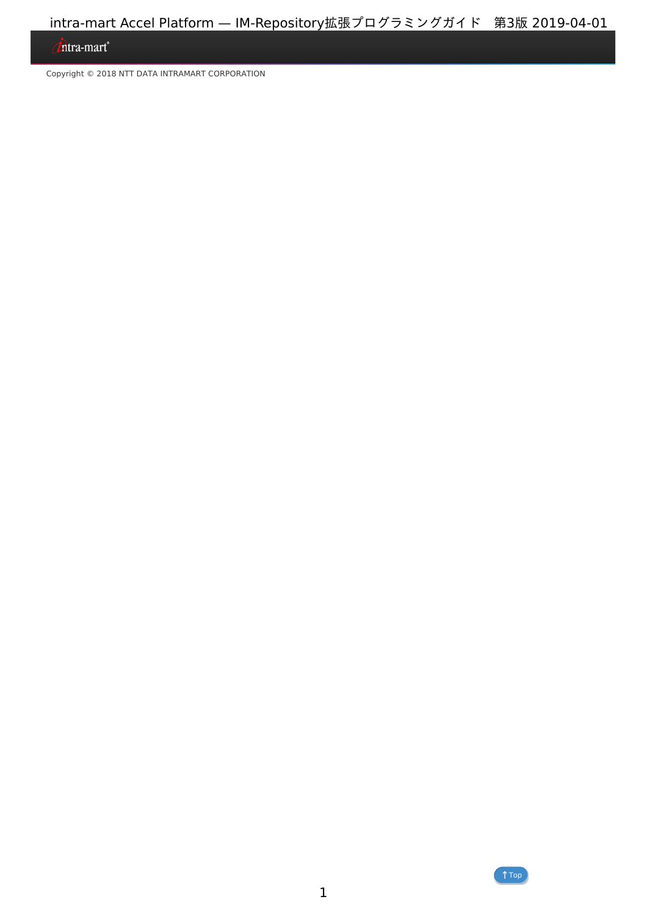## <span id="page-0-0"></span>Intra-mart<sup>®</sup>

Copyright © 2018 NTT DATA INTRAMART CORPORATION

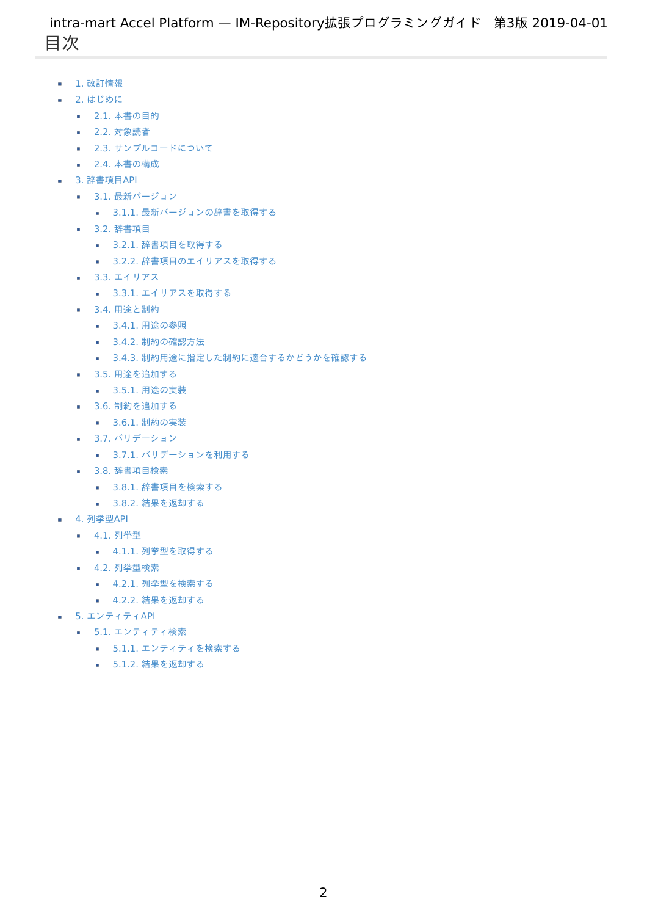- <span id="page-1-0"></span>1. 改訂情報
- 2. はじめに
	- 2.1. [本書の目的](#page-3-0)
	- 2.2. [対象読者](#page-3-1)
	- 2.3. [サンプルコードについて](#page-3-2)
	- 2.4. [本書の構成](#page-3-3)
- 3. 辞書項目API
	- 3.1. 最新バージョン
		- 3.1.1. [最新バージョンの辞書を取得する](#page-4-0)
	- 3.2. 辞書項目
		- 3.2.1. [辞書項目を取得する](#page-3-0)
		- 3.2.2. [辞書項目のエイリアスを取得する](#page-3-1)
	- 3.3. エイリアス
		- 3.3.1. [エイリアスを取得する](#page-3-0)
	- 3.4. 用途と制約
		- 3.4.1. [用途の参照](#page-3-1)
		- 3.4.2. [制約の確認方法](#page-3-2)
		- 3.4.3. [制約用途に指定した制約に適合するかどうかを確認する](#page-7-0)
	- 3.5. 用途を追加する
		- 3.5.1. [用途の実装](#page-3-1)
	- 3.6. 制約を追加する
		- 3.6.1. [制約の実装](#page-3-1)
	- 3.7. バリデーション
		- 3.7.1. [バリデーションを利用する](#page-3-0)
	- 3.8. 辞書項目検索
		- 3.8.1. [辞書項目を検索する](#page-3-1)
		- 3.8.2. [結果を返却する](#page-3-3)
- 4. 列举型API
	- 4.1. 列挙型
		- 4.1.1. [列挙型を取得する](#page-3-0)
	- 4.2. 列挙型検索
		- 4.2.1. [列挙型を検索する](#page-3-1)
		- 4.2.2. [結果を返却する](#page-3-3)
- 5. エンティティAPI
	- 5.1. エンティティ検索
		- 5.1.1. [エンティティを検索する](#page-3-1)
		- 5.1.2. [結果を返却する](#page-3-3)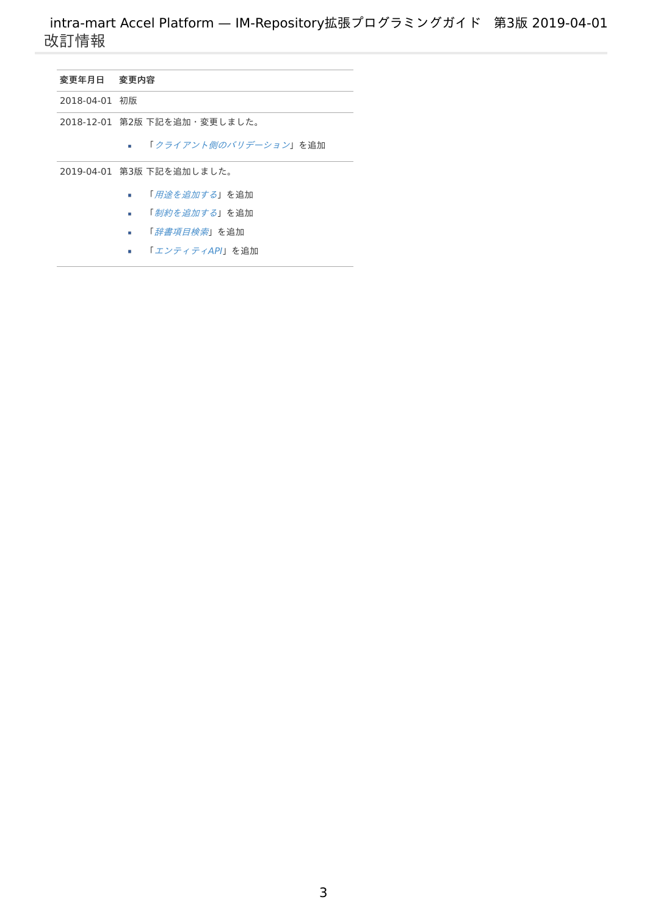<span id="page-2-0"></span>

| 変更年月日 変更内容    |                                      |
|---------------|--------------------------------------|
| 2018-04-01 初版 |                                      |
|               | 2018-12-01 第2版 下記を追加・変更しました。         |
|               | 「 <i>クライアント側のバリデーション</i> 」を追加<br>. . |
|               | 2019-04-01 第3版 下記を追加しました。            |
|               | 「 <i>用涂を追加する</i> 」を追加                |
|               | 「 <i>制約を追加する</i> 」を追加                |

- 「[辞書項目検索](index.html#link-search-dictionary)」を追加
- <span id="page-2-1"></span>■ 「[エンティティ](index.html#link-entityset)API」を追加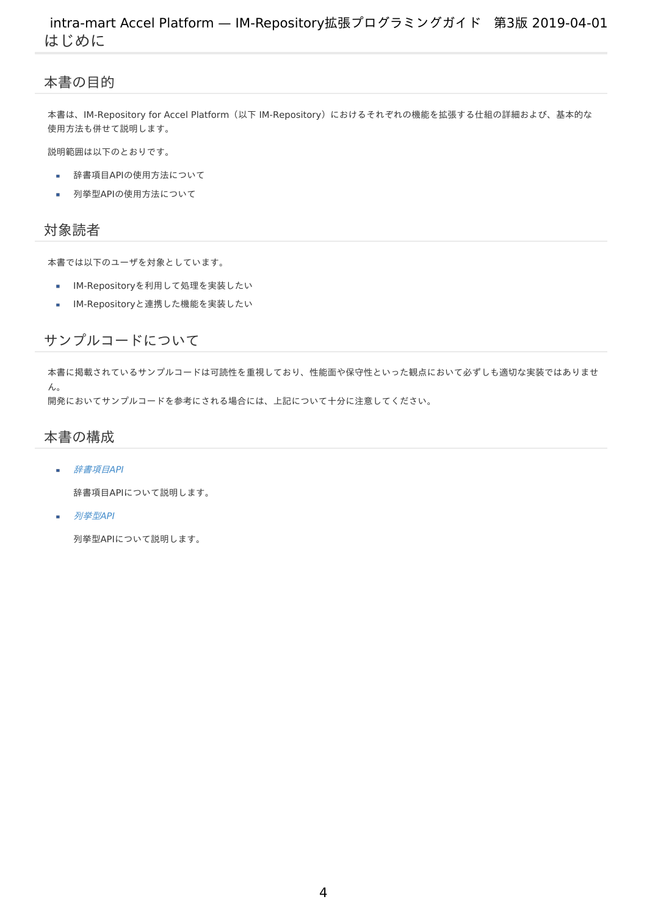## <span id="page-3-0"></span>本書の目[的](#page-3-0)

本書は、IM-Repository for Accel Platform(以下 IM-Repository)におけるそれぞれの機能を拡張する仕組の詳細および、基本的な 使用方法も併せて説明します。

説明範囲は以下のとおりです。

- 辞書項目APIの使用方法について ×
- 列挙型APIの使用方法について à.

## <span id="page-3-1"></span>対象読[者](#page-3-1)

本書では以下のユーザを対象としています。

- IM-Repositoryを利用して処理を実装したい à.
- IM-Repositoryと連携した機能を実装したい  $\overline{\phantom{a}}$

## <span id="page-3-2"></span>サンプルコードについ[て](#page-3-2)

本書に掲載されているサンプルコードは可読性を重視しており、性能面や保守性といった観点において必ずしも適切な実装ではありませ ん。

開発においてサンプルコードを参考にされる場合には、上記について十分に注意してください。

## <span id="page-3-3"></span>本書の構[成](#page-3-3)

[辞書項目](index.html#link-dictionary)API à.

辞書項目APIについて説明します。

[列挙型](index.html#link-enumeration)API ×

列挙型APIについて説明します。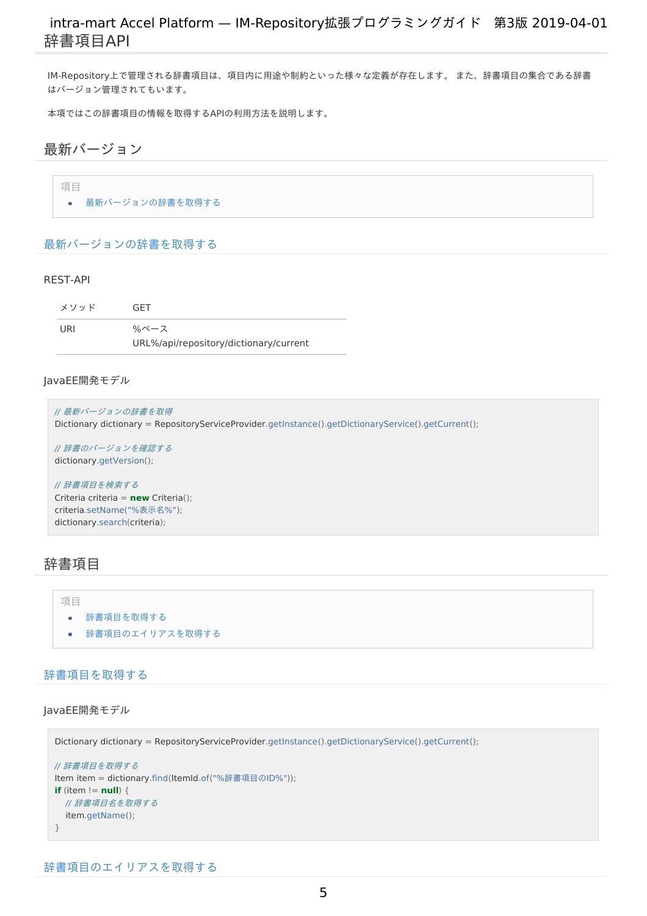IM-Repository上で管理される辞書項目は、項目内に用途や制約といった様々な定義が存在します。 また、辞書項目の集合である辞書 はバージョン管理されてもいます。

本項ではこの辞書項目の情報を取得するAPIの利用方法を説明します。

<span id="page-4-1"></span>最新バージョ[ン](#page-4-1)

■ [最新バージョンの辞書を取得する](#page-4-0)

<span id="page-4-0"></span>[最新バージョンの辞書を取得する](#page-3-0)

#### <span id="page-4-2"></span>REST-AP[I](#page-4-2)

項目

| メソッド | <b>GFT</b>                             |
|------|----------------------------------------|
| URI  | %ベース                                   |
|      | URL%/api/repository/dictionary/current |

#### JavaEE開発モデル

```
// 最新バージョンの辞書を取得
Dictionary dictionary = RepositoryServiceProvider.getInstance().getDictionaryService().getCurrent();
```
// 辞書のバージョンを確認する dictionary.getVersion();

// 辞書項目を検索する Criteria criteria = **new** Criteria(); criteria.setName("%表示名%"); dictionary.search(criteria);

## <span id="page-4-3"></span>辞書項[目](#page-4-3)

#### 項目

- [辞書項目を取得する](#page-3-0)
- <span id="page-4-4"></span>■ [辞書項目のエイリアスを取得する](#page-3-1)

### [辞書項目を取得する](#page-3-3)

JavaEE開発モデル

```
Dictionary dictionary = RepositoryServiceProvider.getInstance().getDictionaryService().getCurrent();
```

```
// 辞書項目を取得する
Item item = dictionary.find(ItemId.of("%辞書項目のID%"));
if (item != null) {
 // 辞書項目名を取得する
  item.getName();
}
```

```
辞書項目のエイリアスを取得する
```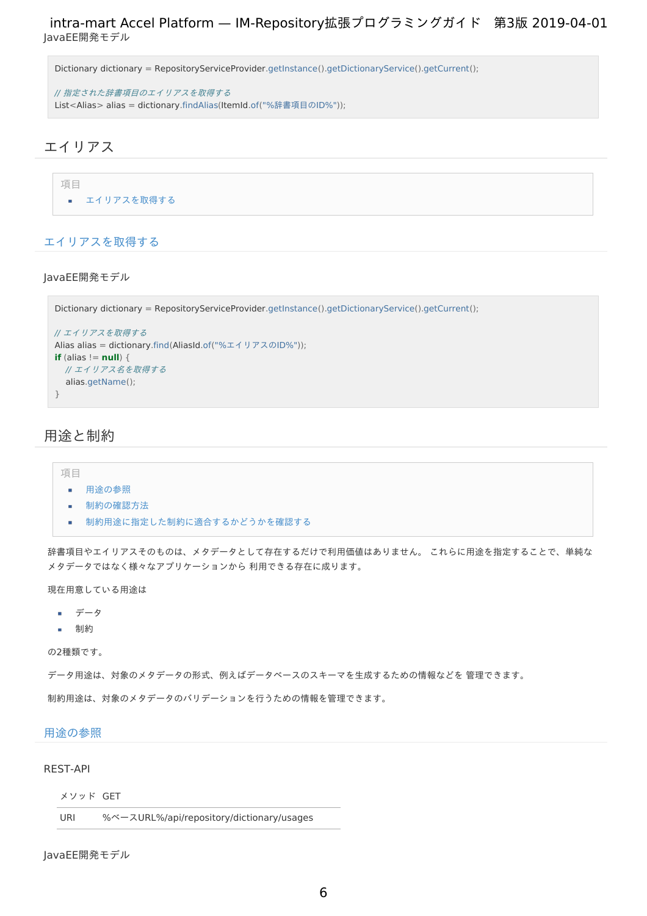Dictionary dictionary = RepositoryServiceProvider.getInstance().getDictionaryService().getCurrent();

// 指定された辞書項目のエイリアスを取得する List<Alias> alias = dictionary.findAlias(ItemId.of("%辞書項目のID%"));

## <span id="page-5-0"></span>エイリア[ス](#page-5-0)

項目

■ [エイリアスを取得する](#page-3-0)

### [エイリアスを取得する](#page-3-1)

#### JavaEE開発モデル

```
Dictionary dictionary = RepositoryServiceProvider.getInstance().getDictionaryService().getCurrent();
// エイリアスを取得する
Alias alias = dictionary.find(AliasId.of("%エイリアスのID%"));
if (alias != null) {
  // エイリアス名を取得する
  alias.getName();
}
```
## 用途と制[約](#page-6-0)

#### 項目

#### <span id="page-5-1"></span>[用途の参照](#page-3-1)  $\alpha$

- <span id="page-5-2"></span>[制約の確認方法](#page-3-2) à.
- <span id="page-5-3"></span> $\overline{\phantom{a}}$ [制約用途に指定した制約に適合するかどうかを確認する](#page-7-0)

辞書項目やエイリアスそのものは、メタデータとして存在するだけで利用価値はありません。 これらに用途を指定することで、単純な メタデータではなく様々なアプリケーションから 利用できる存在に成ります。

現在用意している用途は

- データ
- 制約  $\mathbf{r}$

の2種類です。

データ用途は、対象のメタデータの形式、例えばデータベースのスキーマを生成するための情報などを 管理できます。

制約用途は、対象のメタデータのバリデーションを行うための情報を管理できます。

### [用途の参照](#page-5-1)

#### REST-AP[I](#page-4-2)

#### メソッド GET

```
URI %ベースURL%/api/repository/dictionary/usages
```
#### JavaEE開発モデル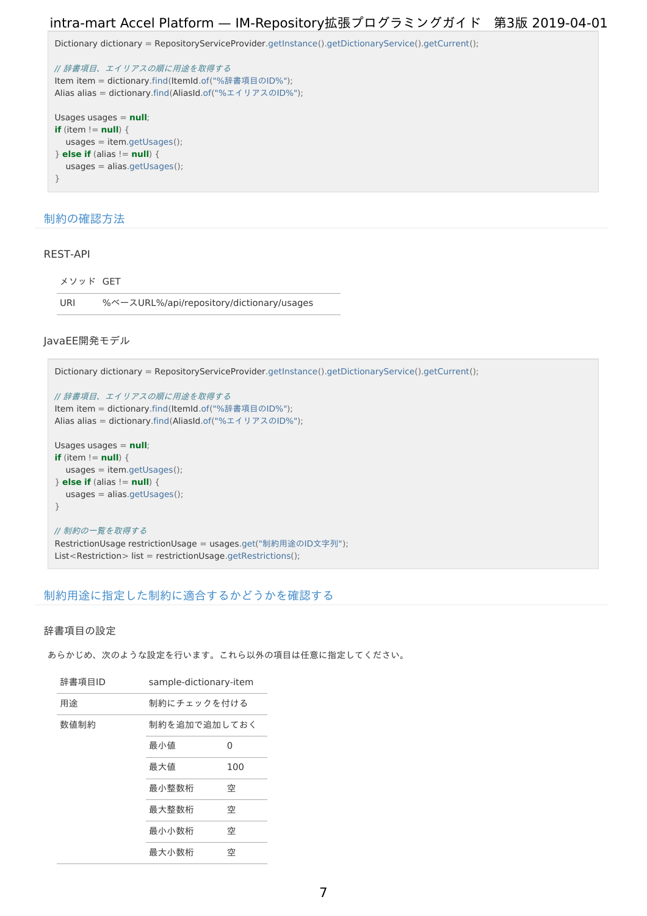```
Dictionary dictionary = RepositoryServiceProvider.getInstance().getDictionaryService().getCurrent();
```

```
// 辞書項目、エイリアスの順に用途を取得する
Item item = dictionary.find(ItemId.of("%辞書項目のID%");
Alias alias = dictionary.find(AliasId.of("%エイリアスのID%");
Usages usages = null;
if (item != null) {
  usages = item.getUsages();
} else if (alias != null) {
  usages = alias.getUsages();
}
```
### [制約の確認方法](#page-5-2)

### REST-AP[I](#page-3-3)

| メソッド GFT |                                           |
|----------|-------------------------------------------|
| URI      | %ベースURL%/api/repository/dictionary/usages |

### JavaEE開発モデル

```
Dictionary dictionary = RepositoryServiceProvider.getInstance().getDictionaryService().getCurrent();
// 辞書項目、エイリアスの順に用途を取得する
Item item = dictionary.find(ItemId.of("%辞書項目のID%");
Alias alias = dictionary.find(AliasId.of("%エイリアスのID%");
Usages usages = null;
if (item != null) {
  usages = item.getUsages();
} else if (alias != null) {
  usages = alias.getUsages();
}
// 制約の一覧を取得する
RestrictionUsage restrictionUsage = usages.get("制約用途のID文字列");
List<Restriction> list = restrictionUsage.getRestrictions();
```
## [制約用途に指定した制約に適合するかどうかを確認する](#page-5-3)

#### 辞書項目の設[定](#page-7-1)

あらかじめ、次のような設定を行います。これら以外の項目は任意に指定してください。

| 辞書項目ID | sample-dictionary-item |     |
|--------|------------------------|-----|
| 用途     | 制約にチェックを付ける            |     |
| 数値制約   | 制約を追加で追加しておく           |     |
|        | 最小値                    | 0   |
|        | 最大値                    | 100 |
|        | 最小整数桁                  | 空   |
|        | 最大整数桁                  | 空   |
|        | 最小小数桁                  | 空   |
|        | 最大小数桁                  | 空   |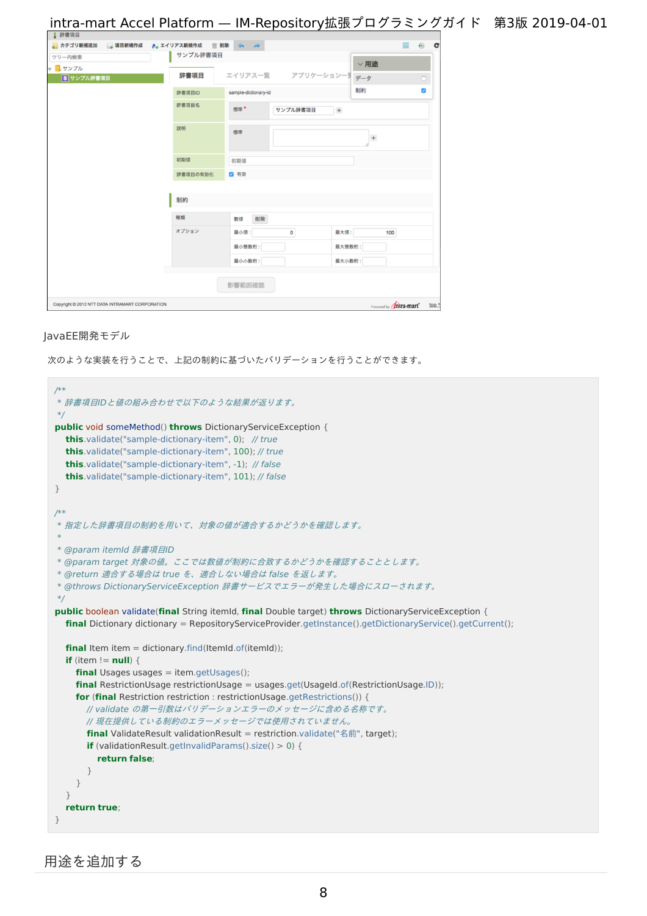<span id="page-7-1"></span><span id="page-7-0"></span>

| ■ 辞書項目                                          |          |                      |                                  |       |
|-------------------------------------------------|----------|----------------------|----------------------------------|-------|
| ● カテゴリ新規追加 ● 項目新規作成 ● エイリアス新規作成 盲 削除 ◇ →        |          |                      | €<br>冊                           | c     |
| ツリー内検索                                          | サンプル辞書項目 |                      | $\vee$ 用途                        |       |
| ▼ <mark>■</mark> サンプル<br>8 サンプル辞書項目             | 辞書項目     | エイリアス一覧 アプリケーション一覧   | データ<br>$\Box$                    |       |
|                                                 |          |                      | $\overline{\mathbf{v}}$<br>制約    |       |
|                                                 | 辞書項目ID   | sample-dictionary-id |                                  |       |
|                                                 | 辞書項目名    | 標準*<br>サンプル辞書項目      | $\begin{array}{c} + \end{array}$ |       |
|                                                 | 説明       | 標準                   | $\! + \!$                        |       |
|                                                 | 初期值      | 初期值                  |                                  |       |
|                                                 | 辞書項目の有効化 | 2 有効                 |                                  |       |
|                                                 |          |                      |                                  |       |
|                                                 | 制約       |                      |                                  |       |
|                                                 | 種類       | 削除<br>数值             |                                  |       |
|                                                 | オプション    | 最小值:<br>$\mathbf 0$  | 最大值:<br>100                      |       |
|                                                 |          | 最小整数桁:               | 最大整数桁:                           |       |
|                                                 |          | 最小小数桁:               | 最大小数桁:                           |       |
|                                                 |          | 影響範囲確認               |                                  |       |
| Copyright @ 2012 NTT DATA INTRAMART CORPORATION |          |                      | Powered by <b>Unitra-mart</b>    | top 1 |

#### <span id="page-7-2"></span>JavaEE開発モデル

次のような実装を行うことで、上記の制約に基づいたバリデーションを行うことができます。

```
/**
* 辞書項目IDと値の組み合わせで以下のような結果が返ります。
 */
public void someMethod() throws DictionaryServiceException {
  this.validate("sample-dictionary-item", 0); // true
  this.validate("sample-dictionary-item", 100); // true
  this.validate("sample-dictionary-item", -1); // false
  this.validate("sample-dictionary-item", 101); // false
}
/**
* 指定した辞書項目の制約を用いて、対象の値が適合するかどうかを確認します。
 *
* @param itemId 辞書項目ID
* @param target 対象の値。ここでは数値が制約に合致するかどうかを確認することとします。
* @return 適合する場合は true を、適合しない場合は false を返します。
* @throws DictionaryServiceException 辞書サービスでエラーが発生した場合にスローされます。
 */
public boolean validate(final String itemId, final Double target) throws DictionaryServiceException {
  final Dictionary dictionary = RepositoryServiceProvider.getInstance().getDictionaryService().getCurrent();
  final Item item = dictionary.find(ItemId.of(itemId));
  if (item != null) {
    final Usages usages = item.getUsages();
    final RestrictionUsage restrictionUsage = usages.get(UsageId.of(RestrictionUsage.ID));
    for (final Restriction restriction : restrictionUsage.getRestrictions()) {
      // validate の第一引数はバリデーションエラーのメッセージに含める名称です。
      // 現在提供している制約のエラーメッセージでは使用されていません。
      final ValidateResult validationResult = restriction.validate("名前", target);
      if (validationResult.getInvalidParams().size() > 0) {
        return false;
      }
    }
  }
  return true;
}
```
用途を追加す[る](#page-14-0)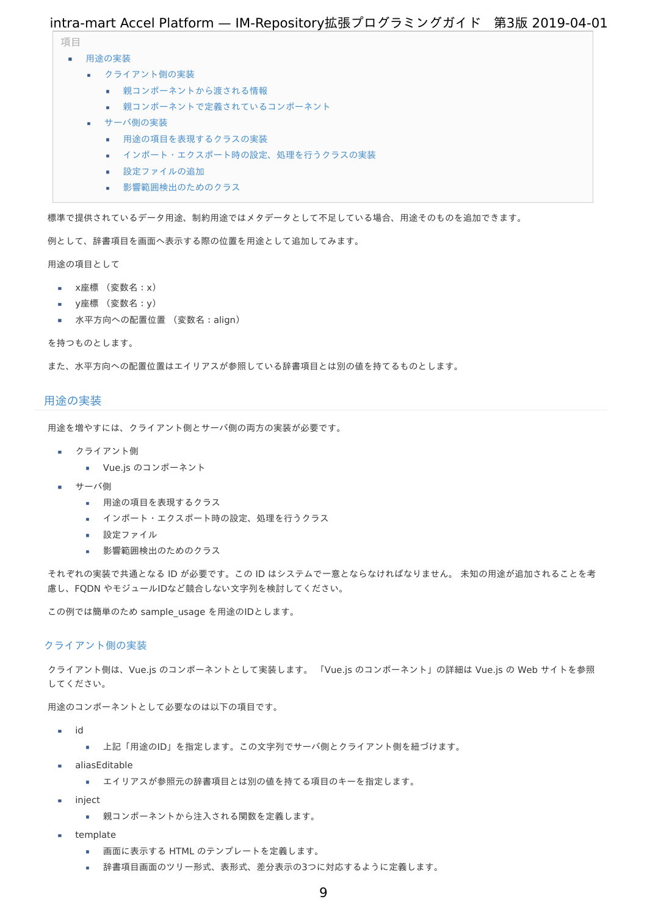項目

- <span id="page-8-5"></span><span id="page-8-4"></span><span id="page-8-3"></span><span id="page-8-2"></span><span id="page-8-1"></span><span id="page-8-0"></span>■ 用涂の実装
	- [クライアント側の実装](#page-3-2)
		- [親コンポーネントから渡される情報](#page-11-0)
		- [親コンポーネントで定義されているコンポーネント](#page-4-4)
		- [サーバ側の実装](#page-0-0)
			- [用途の項目を表現するクラスの実装](#page-7-1)
			- インポート·エクスポート時の設定、処理を行うクラスの実装
			- [設定ファイルの追加](#page-5-1)
			- [影響範囲検出のためのクラス](#page-20-0)

<span id="page-8-8"></span><span id="page-8-7"></span><span id="page-8-6"></span>標準で提供されているデータ用途、制約用途ではメタデータとして不足している場合、用途そのものを追加できます。

例として、辞書項目を画面へ表示する際の位置を用途として追加してみます。

用途の項目として

- x座標 (変数名:x)
- y座標 (変数名:y)
- 水平方向への配置位置 (変数名:align)

を持つものとします。

また、水平方向への配置位置はエイリアスが参照している辞書項目とは別の値を持てるものとします。

### [用途の実装](#page-8-0)

用途を増やすには、クライアント側とサーバ側の両方の実装が必要です。

- クライアント側
	- Vue.js のコンポーネント
- サーバ側
	- 用途の項目を表現するクラス
	- インポート・エクスポート時の設定、処理を行うクラス
	- 設定ファイル
	- 影響範囲検出のためのクラス a.

それぞれの実装で共通となる ID が必要です。この ID はシステムで一意とならなければなりません。 未知の用途が追加されることを考 慮し、FQDN やモジュールIDなど競合しない文字列を検討してください。

この例では簡単のため sample\_usage を用途のIDとします。

#### [クライアント側の実装](#page-8-1)

クライアント側は、Vue.js のコンポーネントとして実装します。 「Vue.js のコンポーネント」の詳細は Vue.js の Web サイトを参照 してください。

用途のコンポーネントとして必要なのは以下の項目です。

- id
	- 上記「用途のID」を指定します。この文字列でサーバ側とクライアント側を紐づけます。
- aliasEditable
	- エイリアスが参照元の辞書項目とは別の値を持てる項目のキーを指定します。  $\mathbf{u}$  .
- inject
	- 親コンポーネントから注入される関数を定義します。
- template
	- 画面に表示する HTML のテンプレートを定義します。
	- 辞書項目画面のツリー形式、表形式、差分表示の3つに対応するように定義します。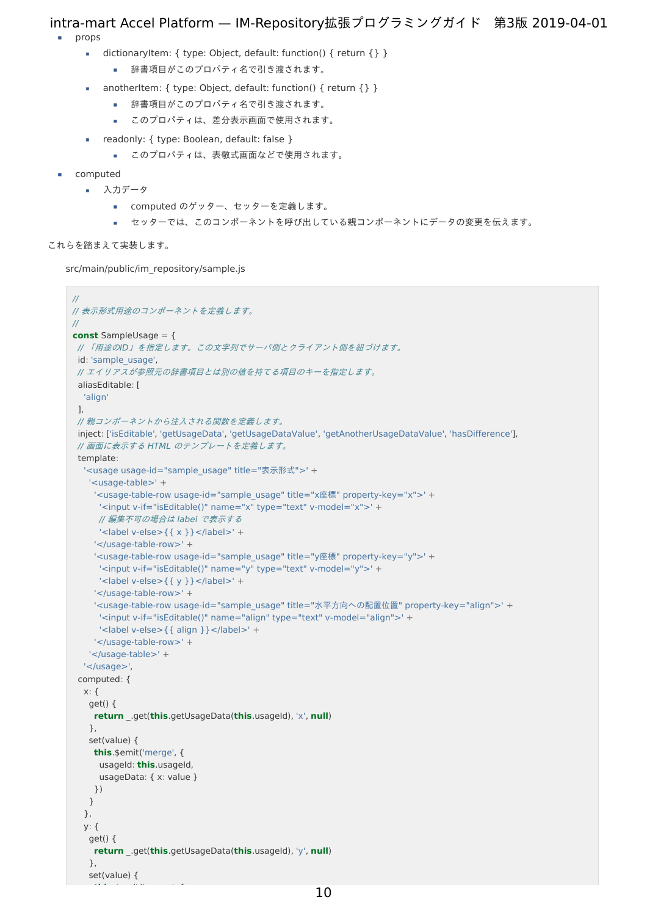- props
	- dictionaryItem: { type: Object, default: function() { return {} }  $\mathbf{r}$ 
		- 辞書項目がこのプロパティ名で引き渡されます。
	- anotherItem: { type: Object, default: function() { return {} }
		- 辞書項目がこのプロパティ名で引き渡されます。
		- このプロパティは、差分表示画面で使用されます。
	- readonly: { type: Boolean, default: false }
		- このプロパティは、表敬式画面などで使用されます。
- computed
	- 入力データ
		- computed のゲッター、セッターを定義します。
		- セッターでは、このコンポーネントを呼び出している親コンポーネントにデータの変更を伝えます。

## これらを踏まえて実装します。

src/main/public/im\_repository/sample.js

**this**.\$emit('merge', {

```
//
// 表示形式用途のコンポーネントを定義します。
//
const SampleUsage = {
// 「用途のID」を指定します。この文字列でサーバ側とクライアント側を紐づけます。
id: 'sample_usage',
// エイリアスが参照元の辞書項目とは別の値を持てる項目のキーを指定します。
 aliasEditable: [
  'align'
 ],
// 親コンポーネントから注入される関数を定義します。
 inject: ['isEditable', 'getUsageData', 'getUsageDataValue', 'getAnotherUsageDataValue', 'hasDifference'],
 // 画面に表示する HTML のテンプレートを定義します。
 template:
  '<usage usage-id="sample_usage" title="表示形式">' +
   '<usage-table>' +
    '<usage-table-row usage-id="sample_usage" title="x座標" property-key="x">' +
     '<input v-if="isEditable()" name="x" type="text" v-model="x">' +
     // 編集不可の場合は label で表示する
     \leqlabel v-else>{{ x }} </label>' +
    '</usage-table-row>' +
    '<usage-table-row usage-id="sample_usage" title="y座標" property-key="y">' +
     '<input v-if="isEditable()" name="y" type="text" v-model="y">' +
     '<label v-else>{\{ \gamma \}} </label>' +
    '</usage-table-row>' +
    '<usage-table-row usage-id="sample_usage" title="水平方向への配置位置" property-key="align">' +
     '<input v-if="isEditable()" name="align" type="text" v-model="align">' +
     '<label v-else>{{ align }}</label>' +
    '</usage-table-row>' +
   '</usage-table>' +
  '</usage>',
 computed: {
  x: fget() {
    return _.get(this.getUsageData(this.usageId), 'x', null)
   },
   set(value) {
    this.$emit('merge', {
     usageId: this.usageId,
     usageData: { x: value }
    })
   }
  },
  y: {
   get() {
    return _.get(this.getUsageData(this.usageId), 'y', null)
   },
   set(value) {
```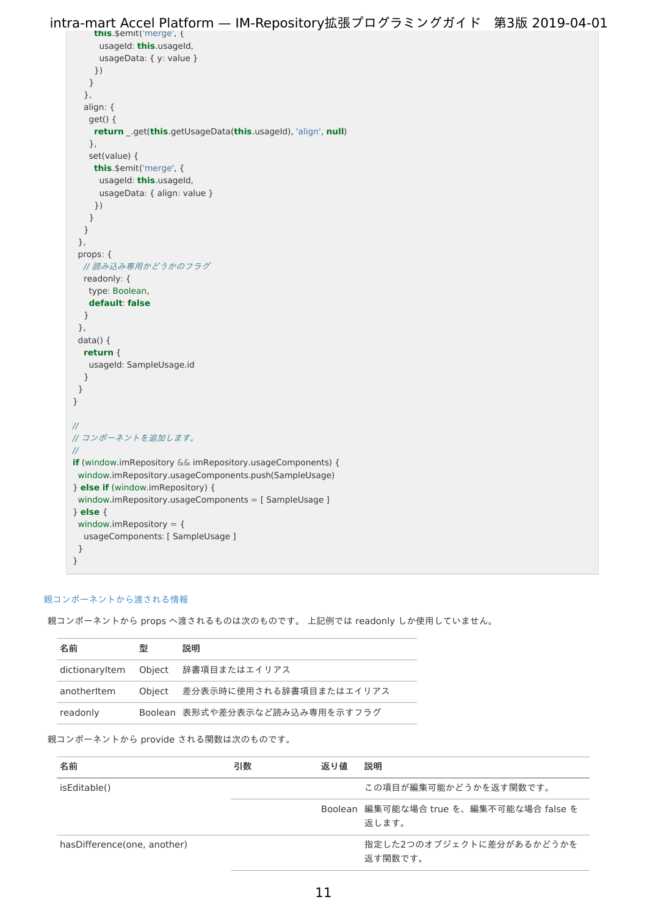```
this.$emit('merge', {
         usageId: this.usageId,
          usageData: { y: value }
        })
       }
      },
      align: {
        get() {
        return _.get(this.getUsageData(this.usageId), 'align', null)
        },
       set(value) {
        this.$emit('merge', {
         usageId: this.usageId,
         usageData: { align: value }
        })
       }
      }
     },
     props: {
      // 読み込み専用かどうかのフラグ
      readonly: {
       type: Boolean,
       default: false
      }
     },
     data() {
      return {
        usageId: SampleUsage.id
      }
     }
    }
    //
    // コンポーネントを追加します。
    //
    if (window.imRepository && imRepository.usageComponents) {
     window.imRepository.usageComponents.push(SampleUsage)
    } else if (window.imRepository) {
     window.imRepository.usageComponents = [ SampleUsage ]
    } else {
     window.imRepository = \{usageComponents: [ SampleUsage ]
     }
    }
intra-mart Accel Platform — IM-Repository拡張プログラミングガイド 第3版 2019-04-01
```
### [親コンポーネントから渡される情報](#page-8-2)

| 親コンポーネントから props へ渡されるものは次のものです。 上記例では readonly しか使用していません。 |  |
|-------------------------------------------------------------|--|

| 名前          | 型 | 説明                                 |
|-------------|---|------------------------------------|
|             |   | dictionaryItem Object 辞書項目またはエイリアス |
| anotherItem |   | Object 差分表示時に使用される辞書項目またはエイリアス     |
| readonly    |   | Boolean 表形式や差分表示など読み込み専用を示すフラグ     |

### 親コンポーネントから provide される関数は次のものです。

| 名前                            | 引数 | 返り値 | 説明                                               |
|-------------------------------|----|-----|--------------------------------------------------|
| isEditable()                  |    |     | この項目が編集可能かどうかを返す関数です。                            |
|                               |    |     | Boolean 編集可能な場合 true を、編集不可能な場合 false を<br>返します。 |
| has Difference (one, another) |    |     | 指定した2つのオブジェクトに差分があるかどうかを<br>返す関数です。              |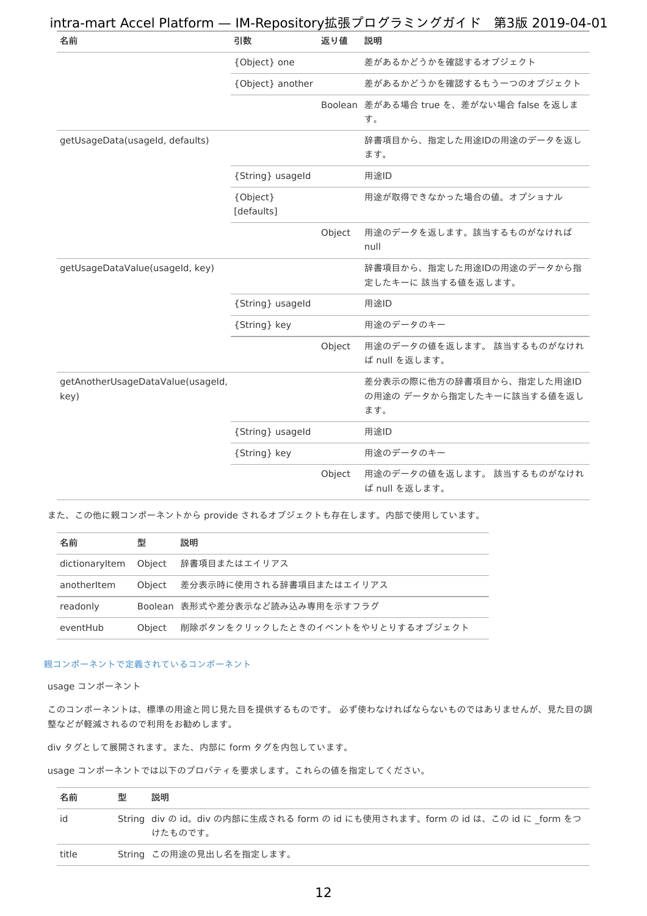<span id="page-11-0"></span>

| 名前                                        | 引数                     | 返り値    | 説明                                                           |
|-------------------------------------------|------------------------|--------|--------------------------------------------------------------|
|                                           | {Object} one           |        | 差があるかどうかを確認するオブジェクト                                          |
|                                           | {Object} another       |        | 差があるかどうかを確認するもう一つのオブジェクト                                     |
|                                           |                        |        | Boolean 差がある場合 true を、差がない場合 false を返しま<br>す。                |
| getUsageData(usageId, defaults)           |                        |        | 辞書項目から、指定した用途IDの用途のデータを返し<br>ます。                             |
|                                           | {String} usageld       |        | 用途ID                                                         |
|                                           | {Object}<br>[defaults] |        | 用途が取得できなかった場合の値。オプショナル                                       |
|                                           |                        | Object | 用途のデータを返します。該当するものがなければ<br>null                              |
| getUsageDataValue(usageId, key)           |                        |        | 辞書項目から、指定した用途IDの用途のデータから指<br>定したキーに該当する値を返します。               |
|                                           | {String} usageId       |        | 用途ID                                                         |
|                                           | {String} key           |        | 用途のデータのキー                                                    |
|                                           |                        | Object | 用途のデータの値を返します。 該当するものがなけれ<br>ば null を返します。                   |
| getAnotherUsageDataValue(usageId,<br>key) |                        |        | 差分表示の際に他方の辞書項目から、指定した用途ID<br>の用途のデータから指定したキーに該当する値を返し<br>ます。 |
|                                           | {String} usageld       |        | 用途ID                                                         |
|                                           | {String} key           |        | 用途のデータのキー                                                    |
|                                           |                        | Object | 用途のデータの値を返します。 該当するものがなけれ<br>ば null を返します。                   |

また、この他に親コンポーネントから provide されるオブジェクトも存在します。内部で使用しています。

| 名前             | 型      | 説明                               |
|----------------|--------|----------------------------------|
| dictionaryltem |        | Object  辞書項目またはエイリアス             |
| anotheritem    | Obiect | 差分表示時に使用される辞書項目またはエイリアス          |
| readonly       |        | Boolean 表形式や差分表示など読み込み専用を示すフラグ   |
| eventHub       | Object | 削除ボタンをクリックしたときのイベントをやりとりするオブジェクト |

### [親コンポーネントで定義されているコンポーネント](#page-8-3)

<span id="page-11-1"></span>usage コンポーネン[ト](#page-11-1)

このコンポーネントは、標準の用途と同じ見た目を提供するものです。 必ず使わなければならないものではありませんが、見た目の調 整などが軽減されるので利用をお勧めします。

div タグとして展開されます。また、内部に form タグを内包しています。

usage コンポーネントでは以下のプロパティを要求します。これらの値を指定してください。

| 名前    | 型 | 説明                                                                                      |
|-------|---|-----------------------------------------------------------------------------------------|
| id    |   | String div の id。div の内部に生成される form の id にも使用されます。form の id は、この id に form をつ<br>けたものです。 |
| title |   | String この用途の見出し名を指定します。                                                                 |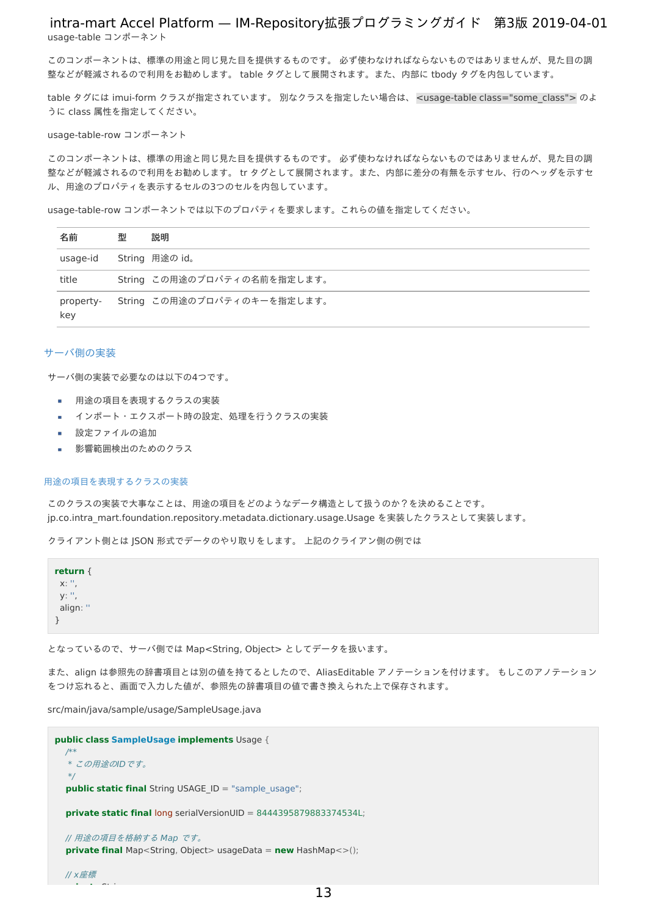<span id="page-12-0"></span>usage-table コンポーネン[ト](#page-12-0) intra-mart Accel Platform — IM-Repository拡張プログラミングガイド 第3版 2019-04-01

このコンポーネントは、標準の用途と同じ見た目を提供するものです。 必ず使わなければならないものではありませんが、見た目の調 整などが軽減されるので利用をお勧めします。 table タグとして展開されます。また、内部に tbody タグを内包しています。

table タグには imui-form クラスが指定されています。 別なクラスを指定したい場合は、<usage-table class="some\_class"> のよ うに class 属性を指定してください。

<span id="page-12-1"></span>usage-table-row コンポーネン[ト](#page-12-1)

このコンポーネントは、標準の用途と同じ見た目を提供するものです。 必ず使わなければならないものではありませんが、見た目の調 整などが軽減されるので利用をお勧めします。 tr タグとして展開されます。また、内部に差分の有無を示すセル、行のヘッダを示すセ ル、用途のプロパティを表示するセルの3つのセルを内包しています。

usage-table-row コンポーネントでは以下のプロパティを要求します。これらの値を指定してください。

| 名前               | 型 | 説明                          |
|------------------|---|-----------------------------|
| usage-id         |   | String 用途の id。              |
| title            |   | String この用途のプロパティの名前を指定します。 |
| property-<br>key |   | String この用途のプロパティのキーを指定します。 |

#### [サーバ側の実装](#page-8-4)

サーバ側の実装で必要なのは以下の4つです。

- 用途の項目を表現するクラスの実装
- インポート・エクスポート時の設定、処理を行うクラスの実装
- 設定ファイルの追加
- 影響範囲検出のためのクラス

#### [用途の項目を表現するクラスの実装](#page-8-5)

このクラスの実装で大事なことは、用途の項目をどのようなデータ構造として扱うのか?を決めることです。 jp.co.intra\_mart.foundation.repository.metadata.dictionary.usage.Usage を実装したクラスとして実装します。

クライアント側とは JSON 形式でデータのやり取りをします。 上記のクライアン側の例では

| return $\{$    |
|----------------|
| x: ".          |
| y: ".          |
| - 11<br>align: |
|                |

**private** String x;

となっているので、サーバ側では Map<String, Object> としてデータを扱います。

また、align は参照先の辞書項目とは別の値を持てるとしたので、AliasEditable アノテーションを付けます。 もしこのアノテーション をつけ忘れると、画面で入力した値が、参照先の辞書項目の値で書き換えられた上で保存されます。

src/main/java/sample/usage/SampleUsage.java

```
public class SampleUsage implements Usage {
  /**
  * この用途のIDです。
  */
  public static final String USAGE_ID = "sample_usage";
  private static final long serialVersionUID = 8444395879883374534L;
  // 用途の項目を格納する Map です。
  private final Map<String, Object> usageData = new HashMap<>();
  // x座標
```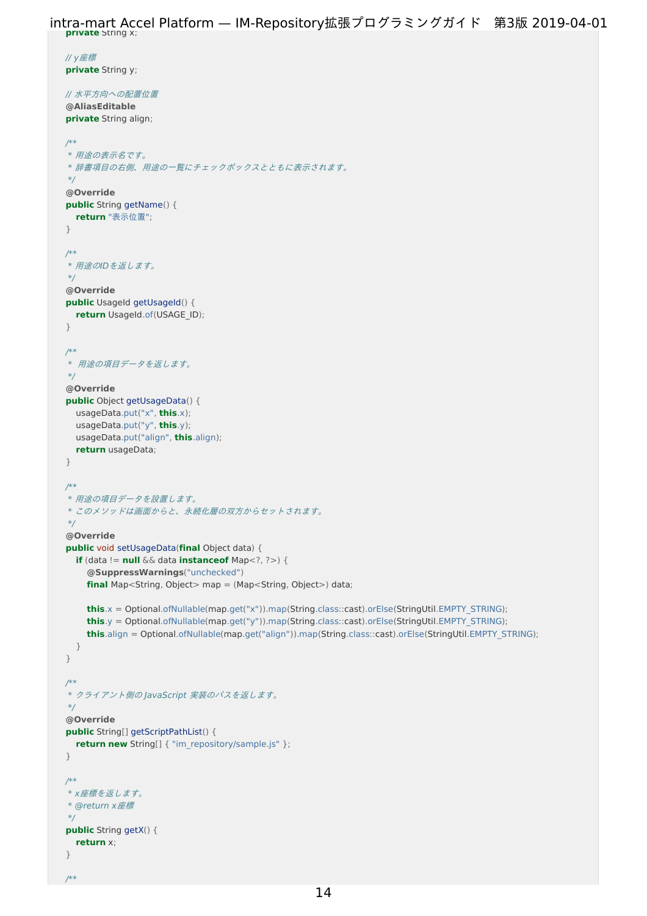**private** String x; intra-mart Accel Platform — IM-Repository拡張プログラミングガイド 第3版 2019-04-01

```
// y座標
private String y;
// 水平方向への配置位置
@AliasEditable
private String align;
/**
* 用途の表示名です。
* 辞書項目の右側、用途の一覧にチェックボックスとともに表示されます。
*/
@Override
public String getName() {
  return "表示位置";
}
/**
 * 用途のIDを返します。
*/
@Override
public UsageId getUsageId() {
  return UsageId.of(USAGE_ID);
}
/**
 * 用途の項目データを返します。
*/
@Override
public Object getUsageData() {
  usageData.put("x", this.x);
  usageData.put("y", this.y);
  usageData.put("align", this.align);
  return usageData;
}
/**
 * 用途の項目データを設置します。
 * このメソッドは画面からと、永続化層の双方からセットされます。
*/
@Override
public void setUsageData(final Object data) {
  if (data != null && data instanceof Map<?, ?>) {
    @SuppressWarnings("unchecked")
    final Map<String, Object> map = (Map<String, Object>) data;
    this.x = Optional.ofNullable(map.get("x")).map(String.class::cast).orElse(StringUtil.EMPTY_STRING);
    this.y = Optional.ofNullable(map.get("y")).map(String.class::cast).orElse(StringUtil.EMPTY_STRING);
    this.align = Optional.ofNullable(map.get("align")).map(String.class::cast).orElse(StringUtil.EMPTY_STRING);
  }
}
/**
* クライアント側の JavaScript 実装のパスを返します。
*/
@Override
public String[] getScriptPathList() {
  return new String[] { "im_repository/sample.js" };
}
/**
* x座標を返します。
* @return x座標
 */
public String getX() {
  return x;
}
/**
```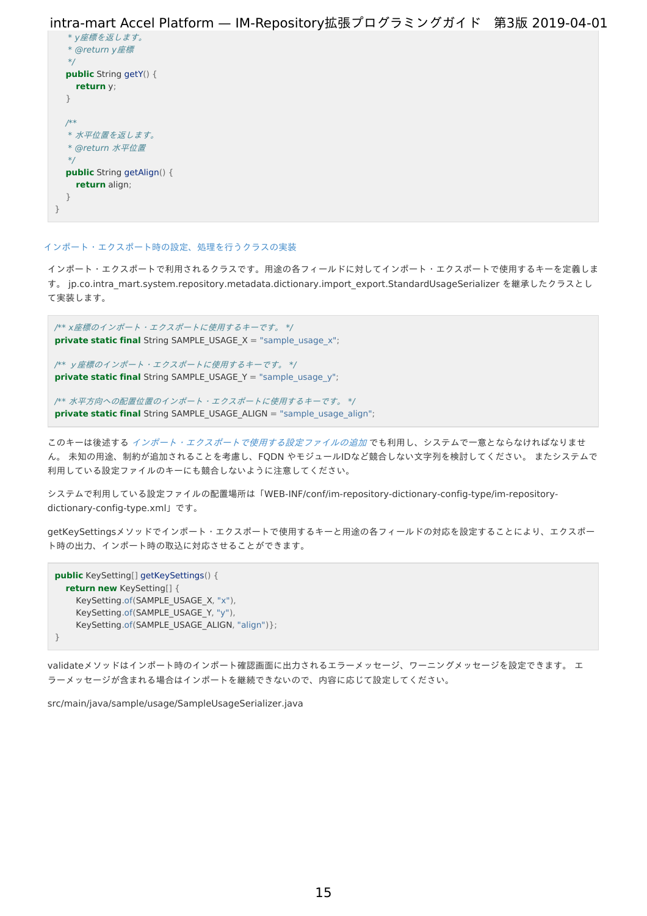```
* y座標を返します。
  * @return y座標
  */
  public String getY() {
    return y;
  }
  /**
  * 水平位置を返します。
  * @return 水平位置
  */
  public String getAlign() {
    return align;
  }
}
```
#### [インポート・エクスポート時の設定、処理を行うクラスの実装](#page-8-6)

インポート・エクスポートで利用されるクラスです。用途の各フィールドに対してインポート・エクスポートで使用するキーを定義しま す。 jp.co.intra\_mart.system.repository.metadata.dictionary.import\_export.StandardUsageSerializer を継承したクラスとし て実装します。

/\*\* x座標のインポート・エクスポートに使用するキーです。 \*/ **private static final** String SAMPLE\_USAGE\_X = "sample\_usage\_x";

/\*\* y座標のインポート・エクスポートに使用するキーです。 \*/ **private static final** String SAMPLE\_USAGE\_Y = "sample\_usage\_y";

/\*\* 水平方向への配置位置のインポート・エクスポートに使用するキーです。 \*/ **private static final** String SAMPLE\_USAGE\_ALIGN = "sample\_usage\_align";

このキーは後述する [インポート・エクスポートで使用する設定ファイルの追加](index.html#sample-usage-xml) でも利用し、システムで一意とならなければなりませ ん。 未知の用途、制約が追加されることを考慮し、FQDN やモジュールIDなど競合しない文字列を検討してください。 またシステムで 利用している設定ファイルのキーにも競合しないように注意してください。

システムで利用している設定ファイルの配置場所は「WEB-INF/conf/im-repository-dictionary-config-type/im-repositorydictionary-config-type.xml」です。

getKeySettingsメソッドでインポート・エクスポートで使用するキーと用途の各フィールドの対応を設定することにより、エクスポー ト時の出力、インポート時の取込に対応させることができます。

```
public KeySetting[] getKeySettings() {
  return new KeySetting[] {
    KeySetting.of(SAMPLE_USAGE_X, "x"),
    KeySetting.of(SAMPLE_USAGE_Y, "y"),
    KeySetting.of(SAMPLE_USAGE_ALIGN, "align")};
}
```
validateメソッドはインポート時のインポート確認画面に出力されるエラーメッセージ、ワーニングメッセージを設定できます。 エ ラーメッセージが含まれる場合はインポートを継続できないので、内容に応じて設定してください。

src/main/java/sample/usage/SampleUsageSerializer.java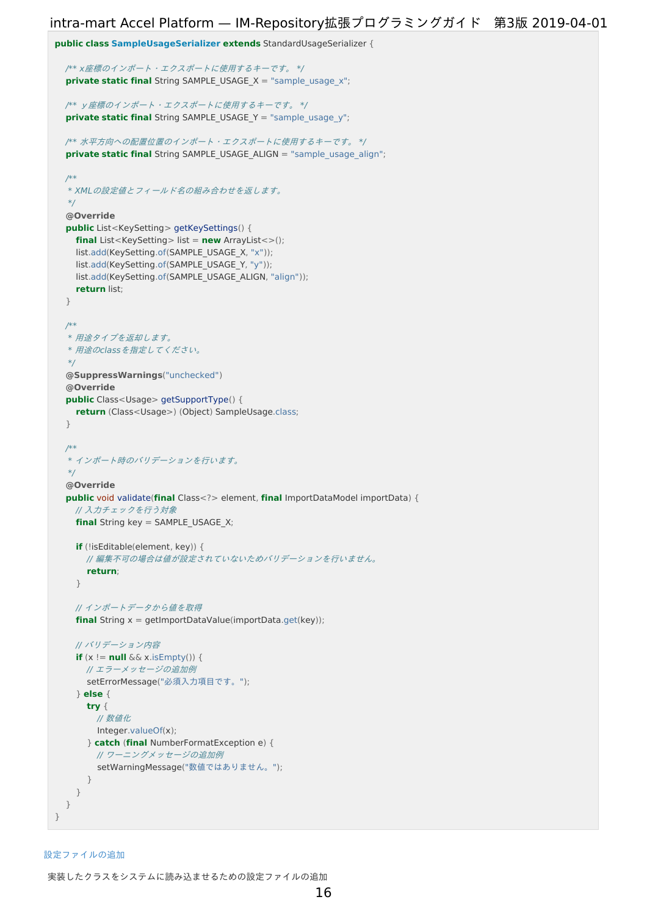```
public class SampleUsageSerializer extends StandardUsageSerializer {
  /** x座標のインポート・エクスポートに使用するキーです。 */
  private static final String SAMPLE_USAGE_X = "sample_usage_x";
 /** y座標のインポート・エクスポートに使用するキーです。 */
  private static final String SAMPLE_USAGE_Y = "sample_usage_y";
 /** 水平方向への配置位置のインポート・エクスポートに使用するキーです。 */
  private static final String SAMPLE_USAGE_ALIGN = "sample_usage_align";
  /**
  * XMLの設定値とフィールド名の組み合わせを返します。
  */
  @Override
  public List<KeySetting> getKeySettings() {
   final List<KeySetting> list = new ArrayList<>();
   list.add(KeySetting.of(SAMPLE_USAGE_X, "x"));
   list.add(KeySetting.of(SAMPLE_USAGE_Y, "y"));
   list.add(KeySetting.of(SAMPLE_USAGE_ALIGN, "align"));
    return list;
  }
 /**
  * 用途タイプを返却します。
  * 用途のclassを指定してください。
  */
  @SuppressWarnings("unchecked")
  @Override
  public Class<Usage> getSupportType() {
   return (Class<Usage>) (Object) SampleUsage.class;
  }
 /**
  * インポート時のバリデーションを行います。
  */
  @Override
  public void validate(final Class<?> element, final ImportDataModel importData) {
   // 入力チェックを行う対象
   final String key = SAMPLE_USAGE_X;
    if (!isEditable(element, key)) {
     // 編集不可の場合は値が設定されていないためバリデーションを行いません。
      return;
    }
   // インポートデータから値を取得
   final String x = getImportDataValue(importData.get(key));
   // バリデーション内容
    if (x := null \& x \text{ is } E \text{ must be a}// エラーメッセージの追加例
     setErrorMessage("必須入力項目です。");
    } else {
      try {
        // 数値化
       Integer.valueOf(x);
      } catch (final NumberFormatException e) {
        // ワーニングメッセージの追加例
        setWarningMessage("数値ではありません。");
      }
    }
  }
```
#### [設定ファイルの追加](#page-8-7)

}

実装したクラスをシステムに読み込ませるための設定ファイルの追[加](#page-5-2)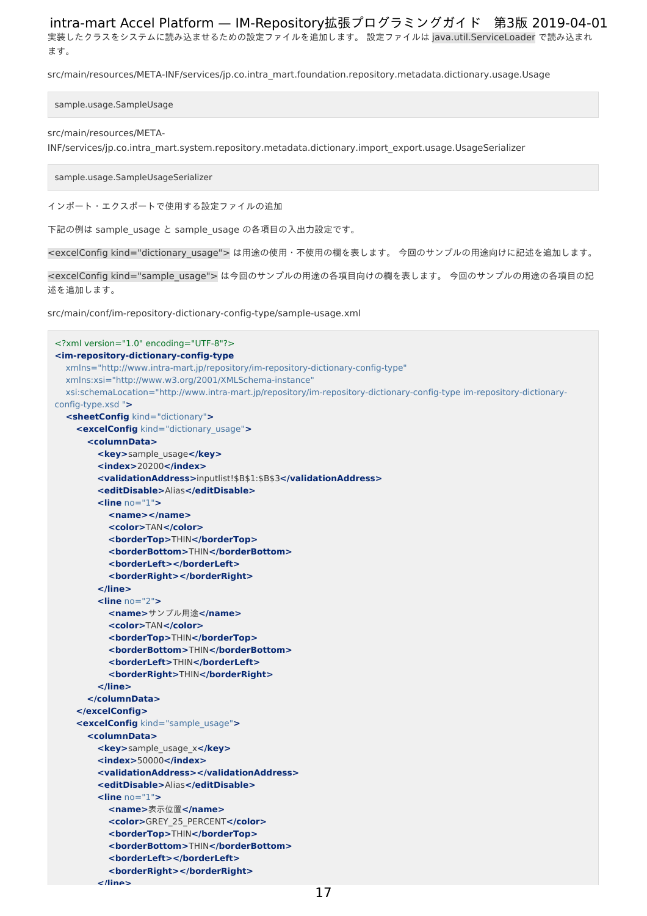実装したクラスをシステムに読み込ませるための設定ファイルを追加します。 設定ファイルは java.util.ServiceLoader で読み込まれ ます。

src/main/resources/META-INF/services/jp.co.intra\_mart.foundation.repository.metadata.dictionary.usage.Usage

sample.usage.SampleUsage

#### src/main/resources/META-

INF/services/jp.co.intra\_mart.system.repository.metadata.dictionary.import\_export.usage.UsageSerializer

sample.usage.SampleUsageSerializer

インポート・エクスポートで使用する設定ファイルの追加

下記の例は sample\_usage と sample\_usage の各項目の入出力設定です。

<excelConfig kind="dictionary\_usage"> は用途の使用・不使用の欄を表します。 今回のサンプルの用途向けに記述を追加します。

<excelConfig kind="sample\_usage"> は今回のサンプルの用途の各項目向けの欄を表します。 今回のサンプルの用途の各項目の記 述を追加します。

src/main/conf/im-repository-dictionary-config-type/sample-usage.xml

```
<?xml version="1.0" encoding="UTF-8"?>
<im-repository-dictionary-config-type
  xmlns="http://www.intra-mart.jp/repository/im-repository-dictionary-config-type"
  xmlns:xsi="http://www.w3.org/2001/XMLSchema-instance"
  xsi:schemaLocation="http://www.intra-mart.jp/repository/im-repository-dictionary-config-type im-repository-dictionary-
config-type.xsd ">
  <sheetConfig kind="dictionary">
    <excelConfig kind="dictionary_usage">
      <columnData>
        <key>sample_usage</key>
        <index>20200</index>
        <validationAddress>inputlist!$B$1:$B$3</validationAddress>
        <editDisable>Alias</editDisable>
        <line no="1">
          <name></name>
          <color>TAN</color>
          <borderTop>THIN</borderTop>
          <borderBottom>THIN</borderBottom>
          <borderLeft></borderLeft>
          <borderRight></borderRight>
        </line>
        <line no="2">
          <name>サンプル用途</name>
          <color>TAN</color>
          <borderTop>THIN</borderTop>
          <borderBottom>THIN</borderBottom>
          <borderLeft>THIN</borderLeft>
          <borderRight>THIN</borderRight>
        </line>
      </columnData>
    </excelConfig>
    <excelConfig kind="sample_usage">
      <columnData>
        <key>sample_usage_x</key>
        <index>50000</index>
        <validationAddress></validationAddress>
        <editDisable>Alias</editDisable>
        <line no="1">
          <name>表示位置</name>
          <color>GREY_25_PERCENT</color>
          <borderTop>THIN</borderTop>
          <borderBottom>THIN</borderBottom>
          <borderLeft></borderLeft>
           <borderRight></borderRight>
        </line>
```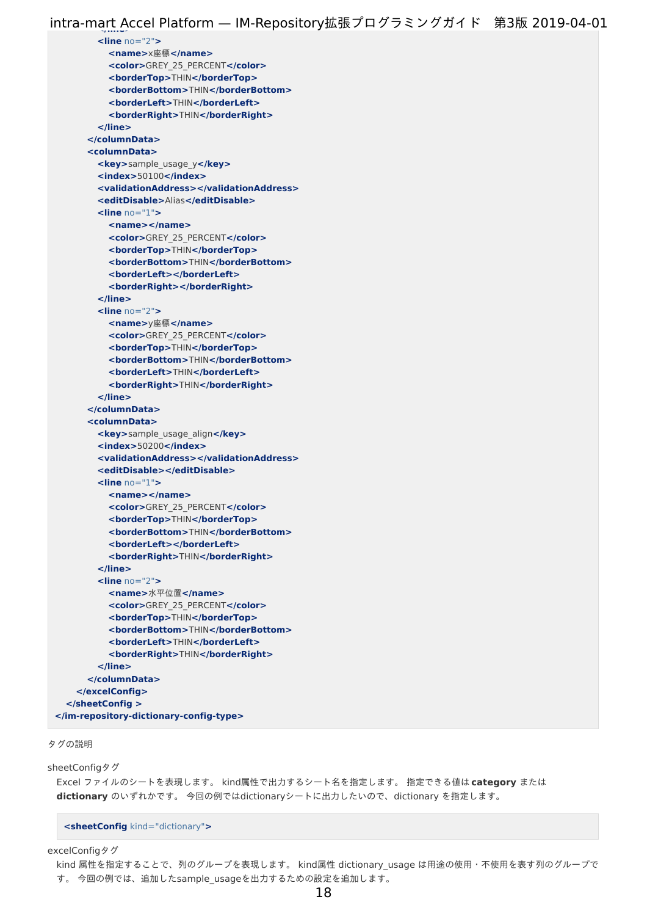**<line** no="2"**> <name>**x座標**</name> <color>**GREY\_25\_PERCENT**</color> <borderTop>**THIN**</borderTop> <borderBottom>**THIN**</borderBottom> <borderLeft>**THIN**</borderLeft> <borderRight>**THIN**</borderRight> </line> </columnData> <columnData> <key>**sample\_usage\_y**</key> <index>**50100**</index> <validationAddress></validationAddress> <editDisable>**Alias**</editDisable> <line** no="1"**> <name></name> <color>**GREY\_25\_PERCENT**</color> <borderTop>**THIN**</borderTop> <borderBottom>**THIN**</borderBottom> <borderLeft></borderLeft> <borderRight></borderRight> </line> <line** no="2"**> <name>**y座標**</name> <color>**GREY\_25\_PERCENT**</color> <borderTop>**THIN**</borderTop> <borderBottom>**THIN**</borderBottom> <borderLeft>**THIN**</borderLeft> <borderRight>**THIN**</borderRight> </line> </columnData> <columnData> <key>**sample\_usage\_align**</key> <index>**50200**</index> <validationAddress></validationAddress> <editDisable></editDisable> <line** no="1"**> <name></name> <color>**GREY\_25\_PERCENT**</color> <borderTop>**THIN**</borderTop> <borderBottom>**THIN**</borderBottom> <borderLeft></borderLeft> <borderRight>**THIN**</borderRight> </line> <line** no="2"**> <name>**水平位置**</name> <color>**GREY\_25\_PERCENT**</color> <borderTop>**THIN**</borderTop> <borderBottom>**THIN**</borderBottom> <borderLeft>**THIN**</borderLeft> <borderRight>**THIN**</borderRight> </line> </columnData> </excelConfig> </sheetConfig > </im-repository-dictionary-config-type>**

#### タグの説[明](#page-18-0)

sheetConfigタグ

Excel ファイルのシートを表現します。 kind属性で出力するシート名を指定します。 指定できる値は **category** または **dictionary** のいずれかです。 今回の例ではdictionaryシートに出力したいので、dictionary を指定します。

**<sheetConfig** kind="dictionary"**>**

excelConfigタグ

kind 属性を指定することで、列のグループを表現します。 kind属性 dictionary\_usage は用途の使用・不使用を表す列のグループで す。今回の例では、追加したsample\_usageを出力するための設定を追加します。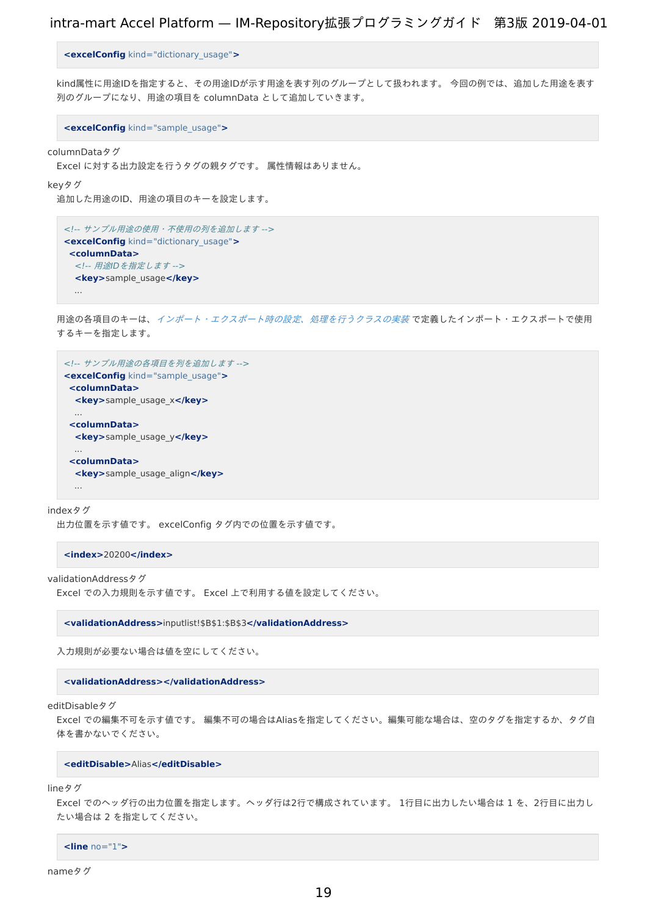<span id="page-18-0"></span>**<excelConfig** kind="dictionary\_usage"**>**

kind属性に用途IDを指定すると、その用途IDが示す用途を表す列のグループとして扱われます。 今回の例では、追加した用途を表す 列のグループになり、用途の項目を columnData として追加していきます。

**<excelConfig** kind="sample\_usage"**>**

columnDataタグ

Excel に対する出力設定を行うタグの親タグです。 属性情報はありません。

keyタグ

追加した用途のID、用途の項目のキーを設定します。

```
<!-- サンプル用途の使用・不使用の列を追加します -->
<excelConfig kind="dictionary_usage">
 <columnData>
 <!-- 用途IDを指定します -->
 <key>sample_usage</key>
  ...
```
用途の各項目のキーは、[インポート・エクスポート時の設定、処理を行うクラスの実装](index.html#standardusageserializer) で定義したインポート・エクスポートで使用 するキーを指定します。

```
<!-- サンプル用途の各項目を列を追加します -->
<excelConfig kind="sample_usage">
<columnData>
 <key>sample_usage_x</key>
  ...
 <columnData>
  <key>sample_usage_y</key>
  ...
 <columnData>
  <key>sample_usage_align</key>
  ...
```
#### indexタグ

出力位置を示す値です。 excelConfig タグ内での位置を示す値です。

**<index>**20200**</index>**

```
validationAddressタグ
```
Excel での入力規則を示す値です。 Excel 上で利用する値を設定してください。

**<validationAddress>**inputlist!\$B\$1:\$B\$3**</validationAddress>**

入力規則が必要ない場合は値を空にしてください。

**<validationAddress></validationAddress>**

editDisableタグ

Excel での編集不可を示す値です。 編集不可の場合はAliasを指定してください。編集可能な場合は、空のタグを指定するか、タグ自 体を書かないでください。

#### **<editDisable>**Alias**</editDisable>**

lineタグ

Excel でのヘッダ行の出力位置を指定します。ヘッダ行は2行で構成されています。 1行目に出力したい場合は 1 を、2行目に出力し たい場合は 2 を指定してください。

**<line** no="1"**>**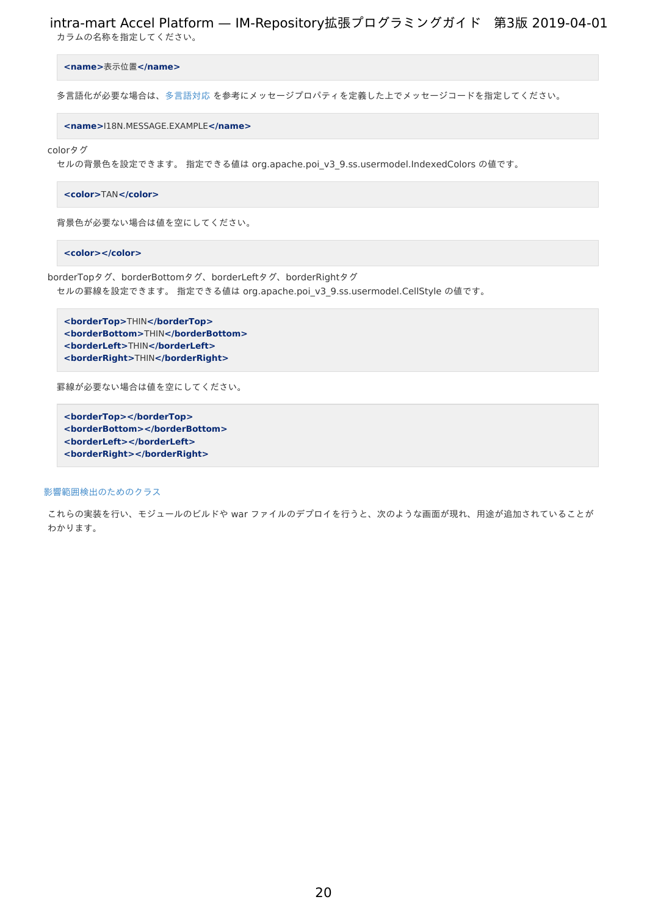カラムの名称を指定してください。

**<name>**表示位置**</name>**

多言語化が必要な場合は[、多言語対応](http://www.intra-mart.jp/document/library/iap/public/development/script_programming_guide/texts/application/international/language/index.html) を参考にメッセージプロパティを定義した上でメッセージコードを指定してください。

**<name>**I18N.MESSAGE.EXAMPLE**</name>**

colorタグ

セルの背景色を設定できます。 指定できる値は org.apache.poi\_v3\_9.ss.usermodel.IndexedColors の値です。

**<color>**TAN**</color>**

背景色が必要ない場合は値を空にしてください。

**<color></color>**

borderTopタグ、borderBottomタグ、borderLeftタグ、borderRightタグ セルの罫線を設定できます。 指定できる値は org.apache.poi\_v3\_9.ss.usermodel.CellStyle の値です。

**<borderTop>**THIN**</borderTop> <borderBottom>**THIN**</borderBottom> <borderLeft>**THIN**</borderLeft> <borderRight>**THIN**</borderRight>**

罫線が必要ない場合は値を空にしてください。

**<borderTop></borderTop> <borderBottom></borderBottom> <borderLeft></borderLeft> <borderRight></borderRight>**

[影響範囲検出のためのクラス](#page-8-8)

これらの実装を行い、モジュールのビルドや war ファイルのデプロイを行うと、次のような画面が現れ、用途が追加されていることが わかります。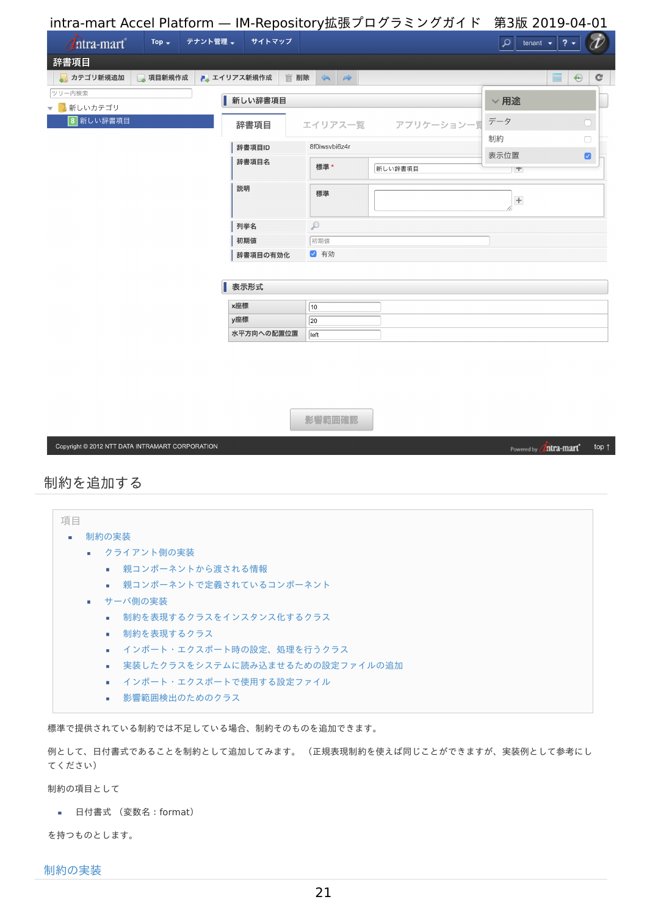<span id="page-20-0"></span>intra-mart Accel Platform — IM-Repository拡張プログラミングガイド 第3版 2019-04-01 Top  $\downarrow$ テナント管理 → サイトマップ  $\mathcal{P}$  tenant  $\mathbf{v}$  ?  $\mathbf{v}$   $\partial$ *Thtra-mart* 辞書項目 ■ カテゴリ新規追加 ■ 項目新規作成 ■ エイリアス新規作成 ■ 削除 ニ →  $\blacksquare$   $\Theta$   $\blacksquare$ ツリー内検索 | 新しい辞書項目  $\vee$ 用途 ▼ 新しいカテゴリ 8 新しい辞書項目 データ 辞書項目 エイリアス一覧 アプリケーション一覧 制約  $\Box$ 辞書項目ID 8f0iwsvbi6z4r 表示位置  $\bullet$ 辞書項目名 **押淮\*** 新しい辞書項目 T T 説明 標準  $+$  $\beta$ 列挙名 初期値 初期值 √ 有効 | 辞書項目の有効化 表示形式 x座標  $\overline{10}$ y座標  $\sqrt{20}$ 水平方向への配置位置 **I**eft 影響範囲確認 Copyright @ 2012 NTT DATA INTRAMART CORPORATION top  $\uparrow$ Powered by **Intra-mart** 

## 制約を追加す[る](#page-26-0)

| 項目 |                                                   |
|----|---------------------------------------------------|
| ٠  | 制約の実装                                             |
|    | ■ クライアント側の実装                                      |
|    | ■ 親コンポーネントから渡される情報                                |
|    | ■ 親コンポーネントで定義されているコンポーネント                         |
|    | ■ サーバ側の実装                                         |
|    | 制約を表現するクラスをインスタンス化するクラス<br>$\mathbf{u}$ .         |
|    | 制約を表現するクラス<br>$\mathbf{m}$ .                      |
|    | ■ インポート・エクスポート時の設定、処理を行うクラス                       |
|    | 実装したクラスをシステムに読み込ませるための設定ファイルの追加<br>$\mathbf{u}$ . |
|    | ■ インポート・エクスポートで使用する設定ファイル                         |
|    | ■ 影響範囲検出のためのクラス                                   |

<span id="page-20-5"></span><span id="page-20-4"></span><span id="page-20-3"></span><span id="page-20-2"></span><span id="page-20-1"></span>標準で提供されている制約では不足している場合、制約そのものを追加できます。

例として、日付書式であることを制約として追加してみます。 (正規表現制約を使えば同じことができますが、実装例として参考にし てください)

制約の項目として

■ 日付書式 (変数名: format)

を持つものとします。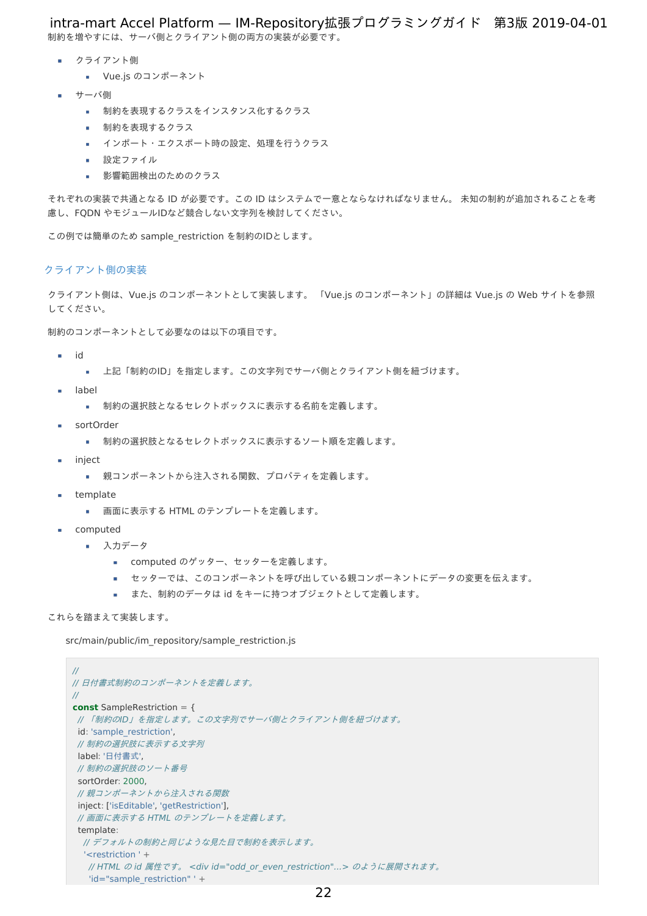制約を増やすには、サーバ側とクライアント側の両方の実装が必要です。 intra-mart Accel Platform — IM-Repository拡張プログラミングガイド 第3版 2019-04-01

- クライアント側
	- Vue.js のコンポーネント
- サーバ側
	- 制約を表現するクラスをインスタンス化するクラス
	- 制約を表現するクラス
	- インポート·エクスポート時の設定、処理を行うクラス
	- 設定ファイル
	- 影響範囲検出のためのクラス ×

それぞれの実装で共通となる ID が必要です。この ID はシステムで一意とならなければなりません。 未知の制約が追加されることを考 慮し、FQDN やモジュールIDなど競合しない文字列を検討してください。

この例では簡単のため sample\_restriction を制約のIDとします。

#### [クライアント側の実装](#page-8-4)

クライアント側は、Vue.js のコンポーネントとして実装します。 「Vue.js のコンポーネント」の詳細は Vue.js の Web サイトを参照 してください。

制約のコンポーネントとして必要なのは以下の項目です。

- id  $\sim$ 
	- 上記「制約のID」を指定します。この文字列でサーバ側とクライアント側を紐づけます。
- label
	- 制約の選択肢となるセレクトボックスに表示する名前を定義します。  $\sim$
- sortOrder
	- 制約の選択肢となるセレクトボックスに表示するソート順を定義します。
- inject
	- 親コンポーネントから注入される関数、プロパティを定義します。  $\mathbf{r}$
- template ٠
	- 画面に表示する HTML のテンプレートを定義します。 m.
- computed
	- 入力データ
		- computed のゲッター、セッターを定義します。
		- セッターでは、このコンポーネントを呼び出している親コンポーネントにデータの変更を伝えます。
		- また、制約のデータは id をキーに持つオブジェクトとして定義します。

#### これらを踏まえて実装します。

src/main/public/im\_repository/sample\_restriction.js

```
//
// 日付書式制約のコンポーネントを定義します。
//
const SampleRestriction = {
// 「制約のID」を指定します。この文字列でサーバ側とクライアント側を紐づけます。
id: 'sample_restriction',
// 制約の選択肢に表示する文字列
label: '日付書式',
// 制約の選択肢のソート番号
sortOrder: 2000,
// 親コンポーネントから注入される関数
inject: ['isEditable', 'getRestriction'],
// 画面に表示する HTML のテンプレートを定義します。
template:
 // デフォルトの制約と同じような見た目で制約を表示します。
  '<restriction ' +
  // HTML の id 属性です。 <div id="odd or even restriction"...> のように展開されます。
  'id="sample_restriction" ' +
                                           22
```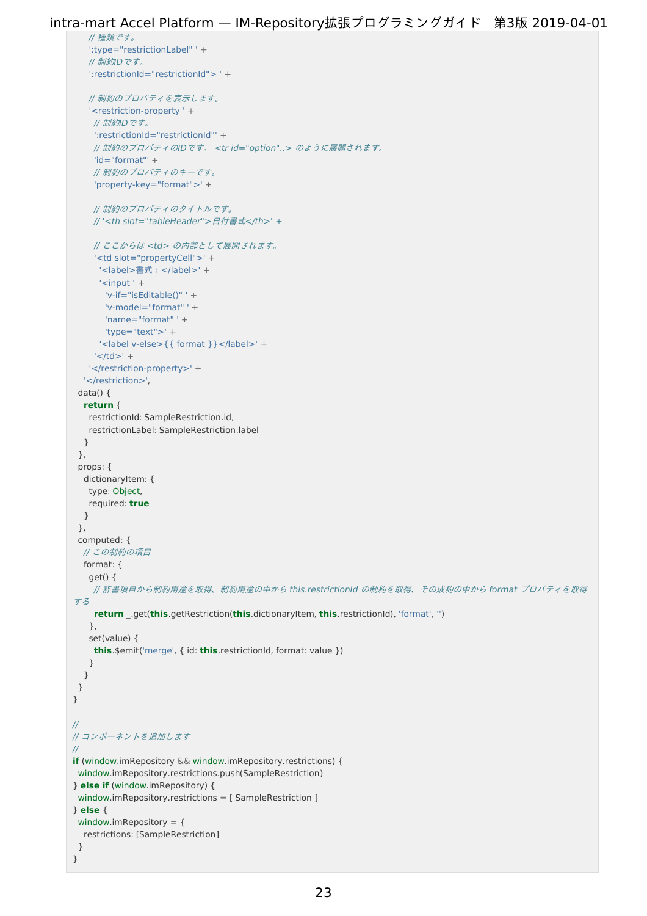```
intra-mart Accel Platform — IM-Repository拡張プログラミングガイド 第3版 2019-04-01
```

```
// 種類です。
   ':type="restrictionLabel" ' +
   // 制約IDです。
   ':restrictionId="restrictionId"> ' +
   // 制約のプロパティを表示します。
   '<restriction-property ' +
    // 制約IDです。
    ':restrictionId="restrictionId"' +
    // 制約のプロパティのIDです。 <tr id="option"..> のように展開されます。
    'id="format"' +
    // 制約のプロパティのキーです。
    'property-key="format">' +
    // 制約のプロパティのタイトルです。
    // '<th slot="tableHeader">日付書式</th>' +
    // ここからは <td> の内部として展開されます。
    '<td slot="propertyCell">' +
     '<label>書式:</label>' +
     ' <input ' +
      'v-if="isEditable()" ' +
      'v-model="format" ' +
      'name="format" ' +
      'type="text">' +
     '<label v-else>{{ format }}</label>' +
    ' </td>' +
   '</restriction-property>' +
  '</restriction>',
 data() {
  return {
  restrictionId: SampleRestriction.id,
   restrictionLabel: SampleRestriction.label
  }
 },
 props: {
  dictionaryItem: {
  type: Object,
   required: true
  }
 },
 computed: {
 // この制約の項目
 format: {
   get() {
    // 辞書項目から制約用途を取得、制約用途の中から this.restrictionId の制約を取得、その成約の中から format プロパティを取得
する
    return _.get(this.getRestriction(this.dictionaryItem, this.restrictionId), 'format', '')
   },
   set(value) {
    this.$emit('merge', { id: this.restrictionId, format: value })
   }
  }
 }
}
//
// コンポーネントを追加します
//
if (window.imRepository && window.imRepository.restrictions) {
window.imRepository.restrictions.push(SampleRestriction)
} else if (window.imRepository) {
window.imRepository.restrictions = [ SampleRestriction ]
} else {
window.imRepository = {
  restrictions: [SampleRestriction]
}
}
```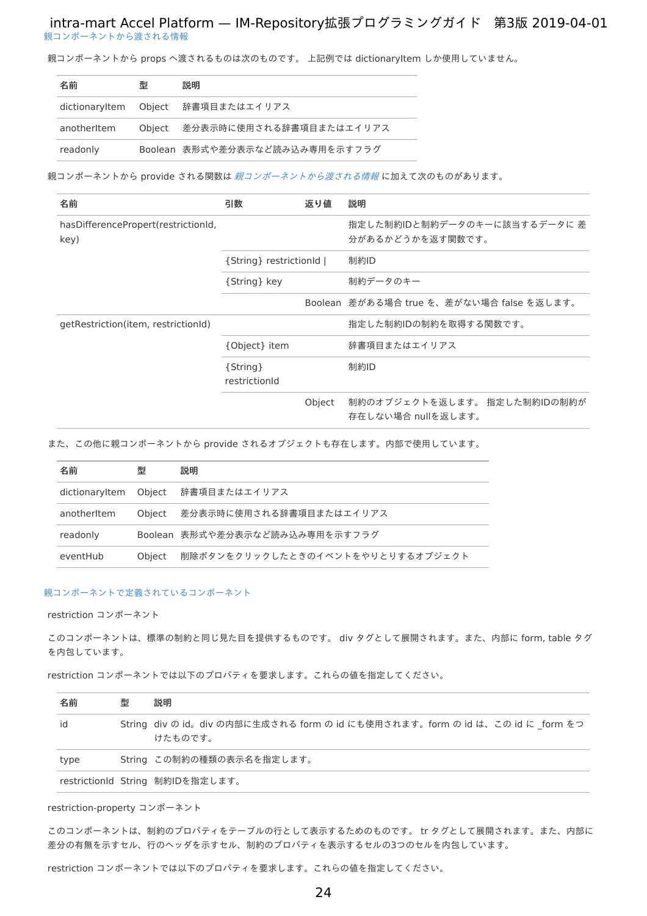[親コンポーネントから渡される情報](#page-8-5) intra-mart Accel Platform — IM-Repository拡張プログラミングガイド 第3版 2019-04-01

親コンポーネントから props へ渡されるものは次のものです。 上記例では dictionaryItem しか使用していません。

| 名前             | 型 | 説明                             |
|----------------|---|--------------------------------|
| dictionaryltem |   | Object 辞書項目またはエイリアス            |
| anotheritem    |   | Object 差分表示時に使用される辞書項目またはエイリアス |
| readonly       |   | Boolean 表形式や差分表示など読み込み専用を示すフラグ |

親コンポーネントから provide される関数は [親コンポーネントから渡される情報](index.html#provide)に加えて次のものがあります。

| 名前                                              | 引数                        | 返り値    | 説明                                                 |
|-------------------------------------------------|---------------------------|--------|----------------------------------------------------|
| has Difference Propert (restriction Id,<br>key) |                           |        | 指定した制約IDと制約データのキーに該当するデータに 差<br>分があるかどうかを返す関数です。   |
|                                                 | {String} restrictionId    |        | 制約ID                                               |
|                                                 | {String} key              |        | 制約データのキー                                           |
|                                                 |                           |        | Boolean 差がある場合 true を、差がない場合 false を返します。          |
| getRestriction(item, restrictionId)             |                           |        | 指定した制約IDの制約を取得する関数です。                              |
|                                                 | {Object} item             |        | 辞書項目またはエイリアス                                       |
|                                                 | {String}<br>restrictionId |        | 制約ID                                               |
|                                                 |                           | Object | 制約のオブジェクトを返します。 指定した制約IDの制約が<br>存在しない場合 nullを返します。 |

また、この他に親コンポーネントから provide されるオブジェクトも存在します。内部で使用しています。

| 名前             | 퓇      | 説明                               |
|----------------|--------|----------------------------------|
| dictionaryItem |        | Object 辞書項目またはエイリアス              |
| anotheritem    |        | Object 差分表示時に使用される辞書項目またはエイリアス   |
| readonly       |        | Boolean 表形式や差分表示など読み込み専用を示すフラグ   |
| eventHub       | Obiect | 削除ボタンをクリックしたときのイベントをやりとりするオブジェクト |

#### [親コンポーネントで定義されているコンポーネント](#page-8-6)

<span id="page-23-0"></span>restriction コンポーネン[ト](#page-23-0)

このコンポーネントは、標準の制約と同じ見た目を提供するものです。 div タグとして展開されます。また、内部に form, table タグ を内包しています。

restriction コンポーネントでは以下のプロパティを要求します。これらの値を指定してください。

| 名前   | 型 | 説明                                                                                      |
|------|---|-----------------------------------------------------------------------------------------|
| id   |   | String div の id。div の内部に生成される form の id にも使用されます。form の id は、この id に form をつ<br>けたものです。 |
| type |   | String この制約の種類の表示名を指定します。                                                               |
|      |   | restrictionId String 制約IDを指定します。                                                        |

restriction-property コンポーネン[ト](#page-24-0)

このコンポーネントは、制約のプロパティをテーブルの行として表示するためのものです。 tr タグとして展開されます。また、内部に 差分の有無を示すセル、行のヘッダを示すセル、制約のプロパティを表示するセルの3つのセルを内包しています。

restriction コンポーネントでは以下のプロパティを要求します。これらの値を指定してください。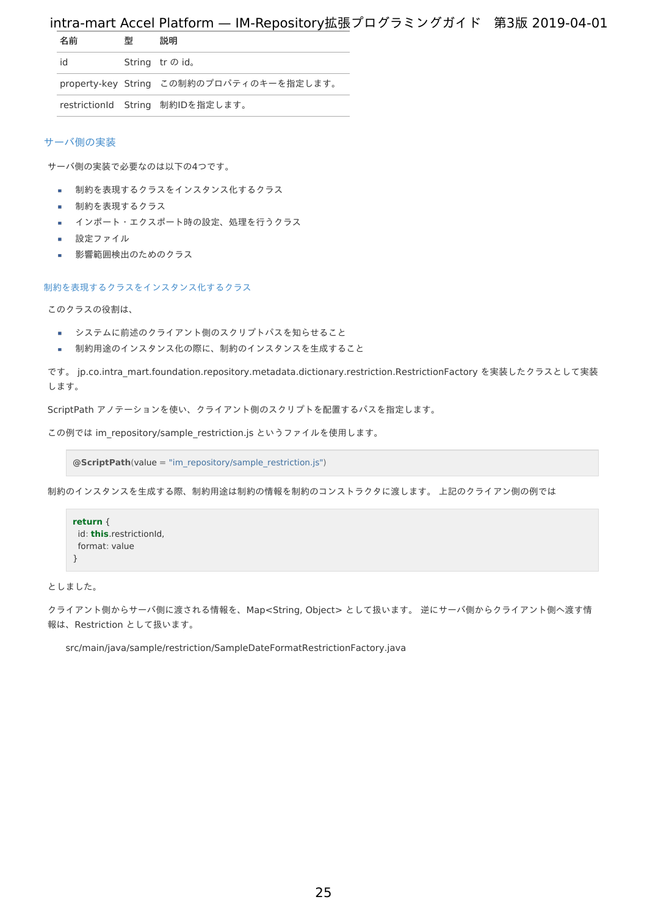<span id="page-24-0"></span>

| 名前 | 型 | 説明                                       |
|----|---|------------------------------------------|
| id |   | String tr の id。                          |
|    |   | property-key String この制約のプロパティのキーを指定します。 |
|    |   | restrictionId String 制約IDを指定します。         |

#### [サーバ側の実装](#page-8-7)

サーバ側の実装で必要なのは以下の4つです。

- 制約を表現するクラスをインスタンス化するクラス
- 制約を表現するクラス
- インポート・エクスポート時の設定、処理を行うクラス
- 設定ファイル ×.
- 影響範囲検出のためのクラス

#### [制約を表現するクラスをインスタンス化するクラス](#page-8-8)

このクラスの役割は、

- システムに前述のクライアント側のスクリプトパスを知らせること
- 制約用途のインスタンス化の際に、制約のインスタンスを生成すること  $\mathbf{r}$

です。 jp.co.intra mart.foundation.repository.metadata.dictionary.restriction.RestrictionFactory を実装したクラスとして実装 します。

ScriptPath アノテーションを使い、クライアント側のスクリプトを配置するパスを指定します。

この例では im\_repository/sample\_restriction.js というファイルを使用します。

**@ScriptPath**(value = "im\_repository/sample\_restriction.js")

制約のインスタンスを生成する際、制約用途は制約の情報を制約のコンストラクタに渡します。 上記のクライアン側の例では

```
return {
id: this.restrictionId,
 format: value
}
```
としました。

クライアント側からサーバ側に渡される情報を、Map<String, Object> として扱います。 逆にサーバ側からクライアント側へ渡す情 報は、Restriction として扱います。

src/main/java/sample/restriction/SampleDateFormatRestrictionFactory.java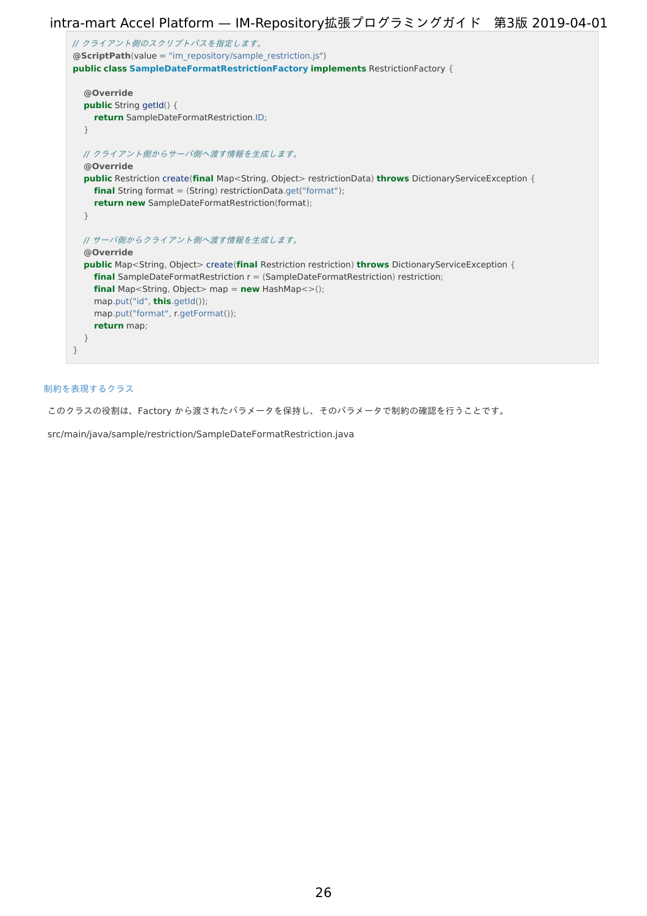```
// クライアント側のスクリプトパスを指定します。
@ScriptPath(value = "im_repository/sample_restriction.js")
public class SampleDateFormatRestrictionFactory implements RestrictionFactory {
  @Override
  public String getId() {
    return SampleDateFormatRestriction.ID;
  }
  // クライアント側からサーバ側へ渡す情報を生成します。
  @Override
  public Restriction create(final Map<String, Object> restrictionData) throws DictionaryServiceException {
    final String format = (String) restrictionData.get("format");
    return new SampleDateFormatRestriction(format);
  }
  // サーバ側からクライアント側へ渡す情報を生成します。
  @Override
  public Map<String, Object> create(final Restriction restriction) throws DictionaryServiceException {
    final SampleDateFormatRestriction r = (SampleDateFormatRestriction) restriction;
    final Map<String, Object> map = new HashMap<>();
    map.put("id", this.getId());
    map.put("format", r.getFormat());
    return map;
  }
}
```
### [制約を表現するクラス](#page-20-1)

このクラスの役割は、Factory から渡されたパラメータを保持し、そのパラメータで制約の確認を行うことです。

src/main/java/sample/restriction/SampleDateFormatRestriction.java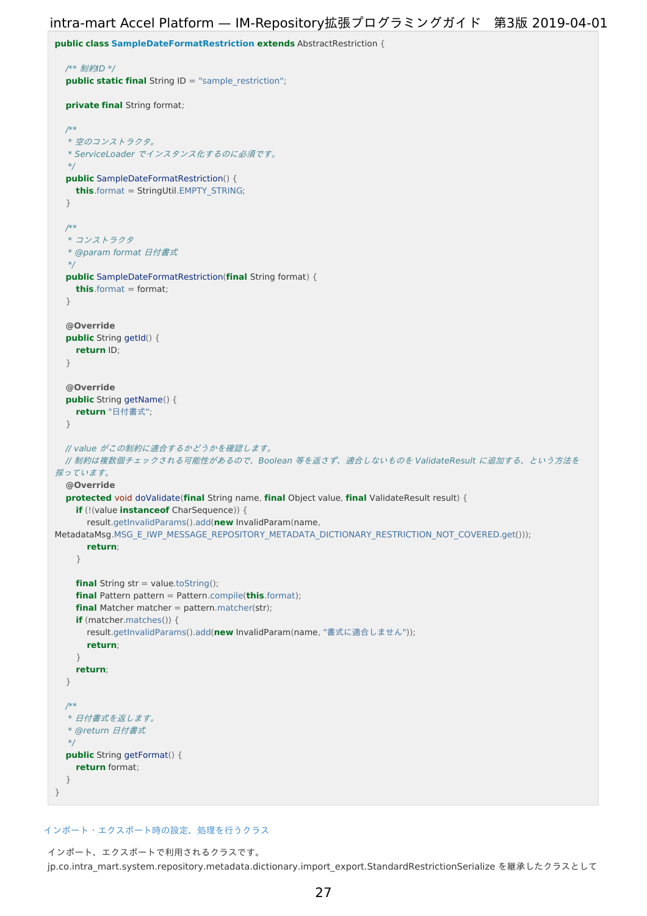```
public class SampleDateFormatRestriction extends AbstractRestriction {
  /** 制約ID */
  public static final String ID = "sample_restriction";
  private final String format;
  /**
  * 空のコンストラクタ。
  * ServiceLoader でインスタンス化するのに必須です。
  */
  public SampleDateFormatRestriction() {
    this.format = StringUtil.EMPTY_STRING;
  }
  /**
  * コンストラクタ
  * @param format 日付書式
  */
  public SampleDateFormatRestriction(final String format) {
    this.format = format;
  }
  @Override
  public String getId() {
    return ID;
  }
  @Override
  public String getName() {
    return "日付書式";
  }
 // value がこの制約に適合するかどうかを確認します。
 // 制約は複数個チェックされる可能性があるので、Boolean 等を返さず、適合しないものを ValidateResult に追加する、という方法を
採っています。
  @Override
  protected void doValidate(final String name, final Object value, final ValidateResult result) {
    if (!(value instanceof CharSequence)) {
      result.getInvalidParams().add(new InvalidParam(name,
MetadataMsg.MSG_E_IWP_MESSAGE_REPOSITORY_METADATA_DICTIONARY_RESTRICTION_NOT_COVERED.get()));
      return;
    }
    final String str = value.toString();
    final Pattern pattern = Pattern.compile(this.format);
    final Matcher matcher = pattern.matcher(str);
    if (matcher.matches()) {
      result.getInvalidParams().add(new InvalidParam(name, "書式に適合しません"));
      return;
    }
   return;
  }
  /**
  * 日付書式を返します。
  * @return 日付書式
  */
  public String getFormat() {
    return format;
  }
}
```
#### [インポート・エクスポート時の設定、処理を行うクラス](#page-20-2)

インポート、エクスポートで利用されるクラスです。 jp.co.intra\_mart.system.repository.metadata.dictionary.import\_export.StandardRestrictionSerialize を継承したクラスとして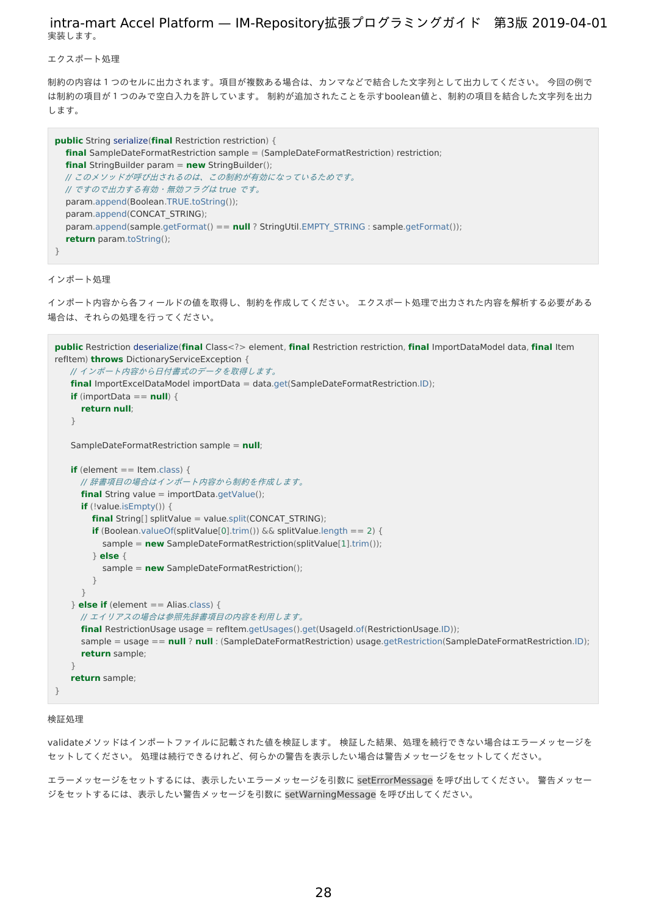エクスポート処[理](#page-5-2)

制約の内容は1つのセルに出力されます。項目が複数ある場合は、カンマなどで結合した文字列として出力してください。 今回の例で は制約の項目が1つのみで空白入力を許しています。 制約が追加されたことを示すboolean値と、制約の項目を結合した文字列を出力 します。

```
public String serialize(final Restriction restriction) {
  final SampleDateFormatRestriction sample = (SampleDateFormatRestriction) restriction;
  final StringBuilder param = new StringBuilder();
  // このメソッドが呼び出されるのは、この制約が有効になっているためです。
  // ですので出力する有効・無効フラグは true です。
  param.append(Boolean.TRUE.toString());
  param.append(CONCAT_STRING);
  param.append(sample.getFormat() == null ? StringUtil.EMPTY_STRING : sample.getFormat());
  return param.toString();
}
```
インポート処[理](#page-5-3)

```
インポート内容から各フィールドの値を取得し、制約を作成してください。 エクスポート処理で出力された内容を解析する必要がある
場合は、それらの処理を行ってください。
```

```
public Restriction deserialize(final Class<?> element, final Restriction restriction, final ImportDataModel data, final Item
refItem) throws DictionaryServiceException {
   // インポート内容から日付書式のデータを取得します。
   final ImportExcelDataModel importData = data.get(SampleDateFormatRestriction.ID);
   if (importData == null) {
     return null;
   }
   SampleDateFormatRestriction sample = null;
   if (element == Item.class) {
     // 辞書項目の場合はインポート内容から制約を作成します。
     final String value = importData.getValue();
     if (!value.isEmpty()) {
        final String[] splitValue = value.split(CONCAT_STRING);
        if (Boolean.valueOf(splitValue[0].trim()) \&\& splitValue.length == 2) {
          sample = new SampleDateFormatRestriction(splitValue[1].trim());
        } else {
          sample = new SampleDateFormatRestriction();
        }
      }
   } else if (element == Alias.class) {
     // エイリアスの場合は参照先辞書項目の内容を利用します。
     final RestrictionUsage usage = refItem.getUsages().get(UsageId.of(RestrictionUsage.ID));
     sample = usage == null ? null : (SampleDateFormatRestriction) usage.getRestriction(SampleDateFormatRestriction.ID);
     return sample;
   }
   return sample;
}
```
#### 検証処[理](#page-18-0)

validateメソッドはインポートファイルに記載された値を検証します。 検証した結果、処理を続行できない場合はエラーメッセージを セットしてください。 処理は続行できるけれど、何らかの警告を表示したい場合は警告メッセージをセットしてください。

エラーメッセージをセットするには、表示したいエラーメッセージを引数に setErrorMessage を呼び出してください。 警告メッセー ジをセットするには、表示したい警告メッセージを引数に setWarningMessage を呼び出してください。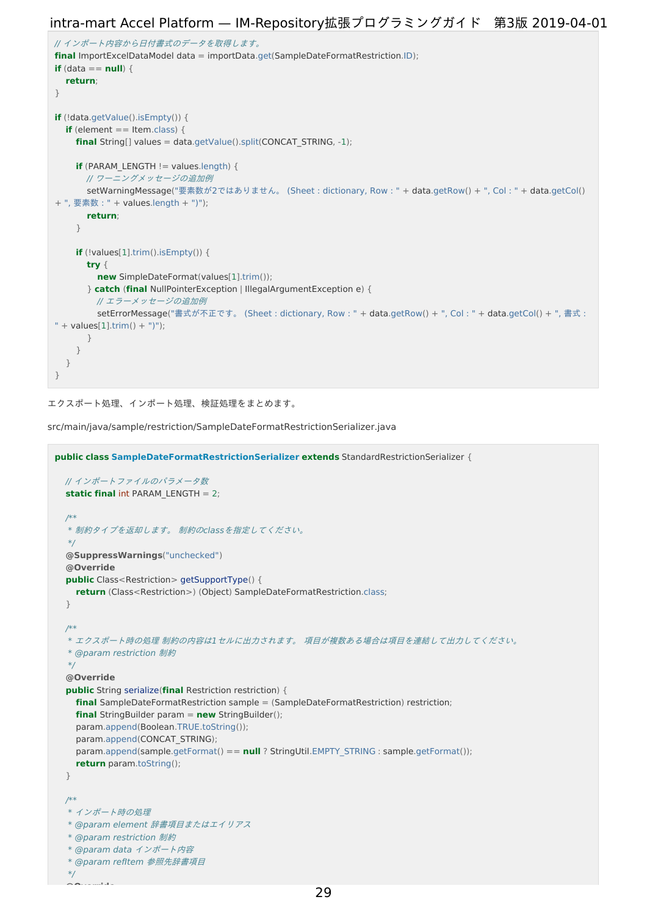```
// インポート内容から日付書式のデータを取得します。
final ImportExcelDataModel data = importData.get(SampleDateFormatRestriction.ID);
if (data == null) {
  return;
}
if (!data.getValue().isEmpty()) {
  if (element == Item.class) {
    final String[] values = data.getValue().split(CONCAT_STRING, -1);
    if (PARAM LENGTH != values.length) {
      // ワーニングメッセージの追加例
       setWarningMessage("要素数が2ではありません。 (Sheet : dictionary, Row : " + data.getRow() + ", Col : " + data.getCol()
+ ", 要素数 : " + values.length + ")");
       return;
    }
    if (!values[1].trim().isEmpty()) {
       try {
         new SimpleDateFormat(values[1].trim());
       } catch (final NullPointerException | IllegalArgumentException e) {
         // エラーメッセージの追加例
         setErrorMessage("書式が不正です。 (Sheet : dictionary, Row : " + data.getRow() + ", Col : " + data.getCol() + ", 書式 :
" + values[1].trim() + ")");
      }
    }
  }
}
```

```
エクスポート処理、インポート処理、検証処理をまとめます。
```
src/main/java/sample/restriction/SampleDateFormatRestrictionSerializer.java

```
public class SampleDateFormatRestrictionSerializer extends StandardRestrictionSerializer {
  // インポートファイルのパラメータ数
  static final int PARAM_LENGTH = 2;
  /**
  * 制約タイプを返却します。 制約のclassを指定してください。
  */
  @SuppressWarnings("unchecked")
  @Override
  public Class<Restriction> getSupportType() {
    return (Class<Restriction>) (Object) SampleDateFormatRestriction.class;
  }
  /**
  * エクスポート時の処理 制約の内容は1セルに出力されます。 項目が複数ある場合は項目を連結して出力してください。
   * @param restriction 制約
  */
  @Override
  public String serialize(final Restriction restriction) {
    final SampleDateFormatRestriction sample = (SampleDateFormatRestriction) restriction;
    final StringBuilder param = new StringBuilder();
    param.append(Boolean.TRUE.toString());
    param.append(CONCAT_STRING);
    param.append(sample.getFormat() == null ? StringUtil.EMPTY_STRING : sample.getFormat());
    return param.toString();
  }
  /**
  * インポート時の処理
  * @param element 辞書項目またはエイリアス
  * @param restriction 制約
  * @param data インポート内容
   * @param refItem 参照先辞書項目
  */
     @Override
```
29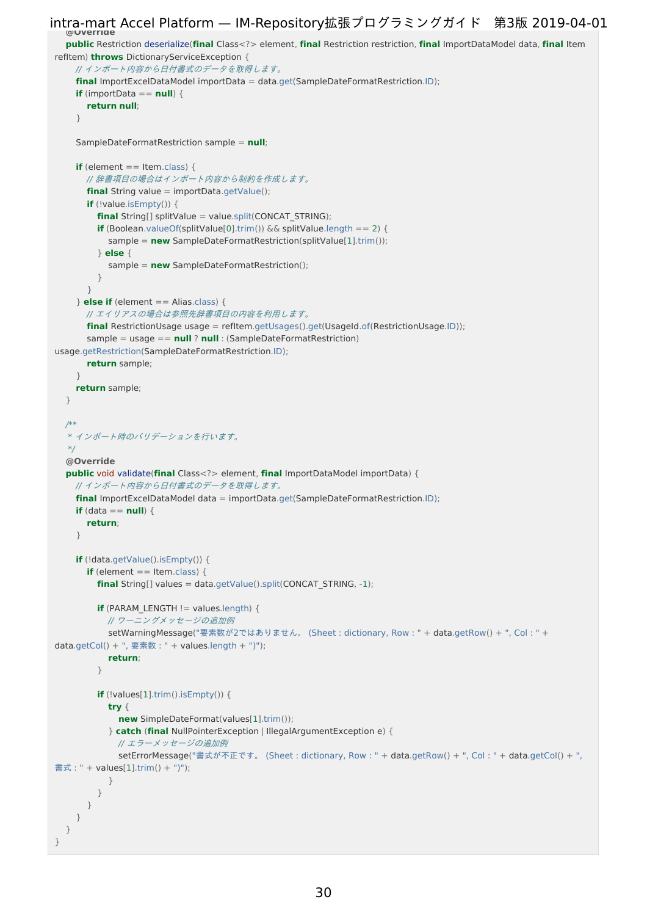```
@Override
   public Restriction deserialize(final Class<?> element, final Restriction restriction, final ImportDataModel data, final Item
refItem) throws DictionaryServiceException {
     // インポート内容から日付書式のデータを取得します。
     final ImportExcelDataModel importData = data.get(SampleDateFormatRestriction.ID);
     if (importData == null) {
       return null;
     }
     SampleDateFormatRestriction sample = null;
     if (element == Item.class) {
       // 辞書項目の場合はインポート内容から制約を作成します。
       final String value = importData.getValue();
       if (!value.isEmpty()) {
         final String[] splitValue = value.split(CONCAT_STRING);
         if (Boolean.valueOf(splitValue[0].trim()) && splitValue.length == 2) {
            sample = new SampleDateFormatRestriction(splitValue[1].trim());
         } else {
            sample = new SampleDateFormatRestriction();
         }
       }
     } else if (element == Alias.class) {
       // エイリアスの場合は参照先辞書項目の内容を利用します。
       final RestrictionUsage usage = refItem.getUsages().get(UsageId.of(RestrictionUsage.ID));
       sample = usage == null ? null : (SampleDateFormatRestriction)
usage.getRestriction(SampleDateFormatRestriction.ID);
       return sample;
     }
     return sample;
   }
  /**
   * インポート時のバリデーションを行います。
   */
   @Override
   public void validate(final Class<?> element, final ImportDataModel importData) {
     // インポート内容から日付書式のデータを取得します。
     final ImportExcelDataModel data = importData.get(SampleDateFormatRestriction.ID);
     if (data == null) {
       return;
     }
     if (!data.getValue().isEmpty()) {
       if (element == Item.class) {
         final String[] values = data.getValue().split(CONCAT_STRING, -1);
         if (PARAM LENGTH != values.length) {
           // ワーニングメッセージの追加例
           setWarningMessage("要素数が2ではありません。 (Sheet : dictionary, Row : " + data.getRow() + ", Col : " +
data.getCol() + ", 要素数 : " + values.length + ")");
            return;
         }
         if (!values[1].trim().isEmpty()) {
           try {
              new SimpleDateFormat(values[1].trim());
            } catch (final NullPointerException | IllegalArgumentException e) {
              // エラーメッセージの追加例
              setErrorMessage("書式が不正です。 (Sheet : dictionary, Row : " + data.getRow() + ", Col : " + data.getCol() + ",
 書式 : " + values[1].trim() + ")");
            }
          }
       }
     }
   }
}
intra-mart Accel Platform — IM-Repository拡張プログラミングガイド 第3版 2019-04-01
```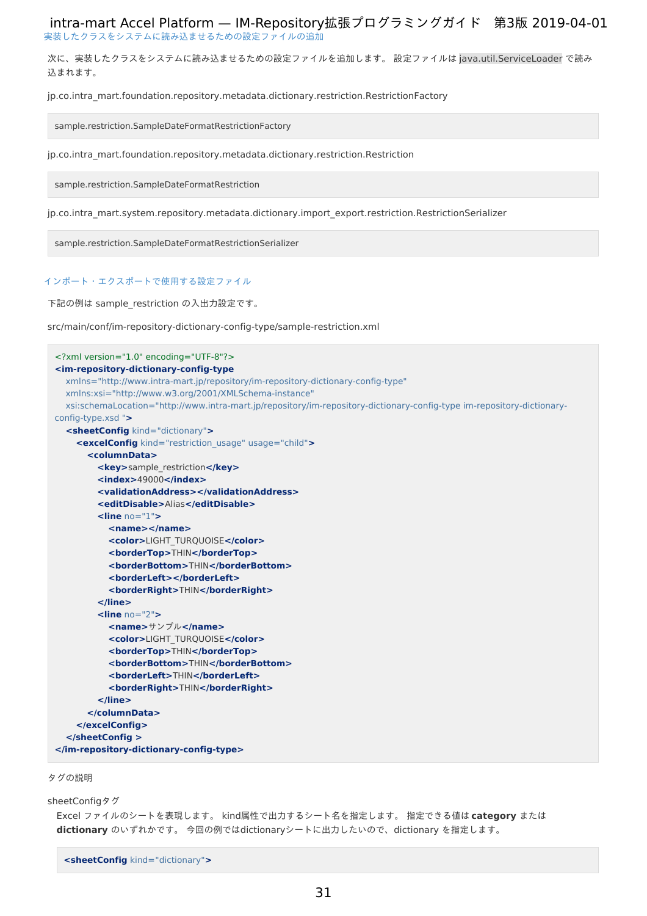[実装したクラスをシステムに読み込ませるための設定ファイルの追加](#page-20-3) intra-mart Accel Platform — IM-Repository拡張プログラミングガイド 第3版 2019-04-01

次に、実装したクラスをシステムに読み込ませるための設定ファイルを追加します。 設定ファイルは java.util.ServiceLoader で読み 込まれます。

jp.co.intra\_mart.foundation.repository.metadata.dictionary.restriction.RestrictionFactory

sample.restriction.SampleDateFormatRestrictionFactory

jp.co.intra\_mart.foundation.repository.metadata.dictionary.restriction.Restriction

sample.restriction.SampleDateFormatRestriction

jp.co.intra\_mart.system.repository.metadata.dictionary.import\_export.restriction.RestrictionSerializer

sample.restriction.SampleDateFormatRestrictionSerializer

### [インポート・エクスポートで使用する設定ファイル](#page-20-4)

下記の例は sample\_restriction の入出力設定です。

src/main/conf/im-repository-dictionary-config-type/sample-restriction.xml

```
<?xml version="1.0" encoding="UTF-8"?>
<im-repository-dictionary-config-type
  xmlns="http://www.intra-mart.jp/repository/im-repository-dictionary-config-type"
  xmlns:xsi="http://www.w3.org/2001/XMLSchema-instance"
  xsi:schemaLocation="http://www.intra-mart.jp/repository/im-repository-dictionary-config-type im-repository-dictionary-
config-type.xsd ">
  <sheetConfig kind="dictionary">
    <excelConfig kind="restriction_usage" usage="child">
      <columnData>
        <key>sample_restriction</key>
        <index>49000</index>
        <validationAddress></validationAddress>
        <editDisable>Alias</editDisable>
        <line no="1">
           <name></name>
           <color>LIGHT_TURQUOISE</color>
           <borderTop>THIN</borderTop>
           <borderBottom>THIN</borderBottom>
           <borderLeft></borderLeft>
           <borderRight>THIN</borderRight>
        </line>
         <line no="2">
           <name>サンプル</name>
           <color>LIGHT_TURQUOISE</color>
           <borderTop>THIN</borderTop>
           <borderBottom>THIN</borderBottom>
           <borderLeft>THIN</borderLeft>
           <borderRight>THIN</borderRight>
         </line>
      </columnData>
    </excelConfig>
  </sheetConfig >
</im-repository-dictionary-config-type>
```
タグの説[明](#page-8-1)

sheetConfigタグ

```
Excel ファイルのシートを表現します。 kind属性で出力するシート名を指定します。 指定できる値は category または
dictionary のいずれかです。 今回の例ではdictionaryシートに出力したいので、dictionary を指定します。
```
**<sheetConfig** kind="dictionary"**>**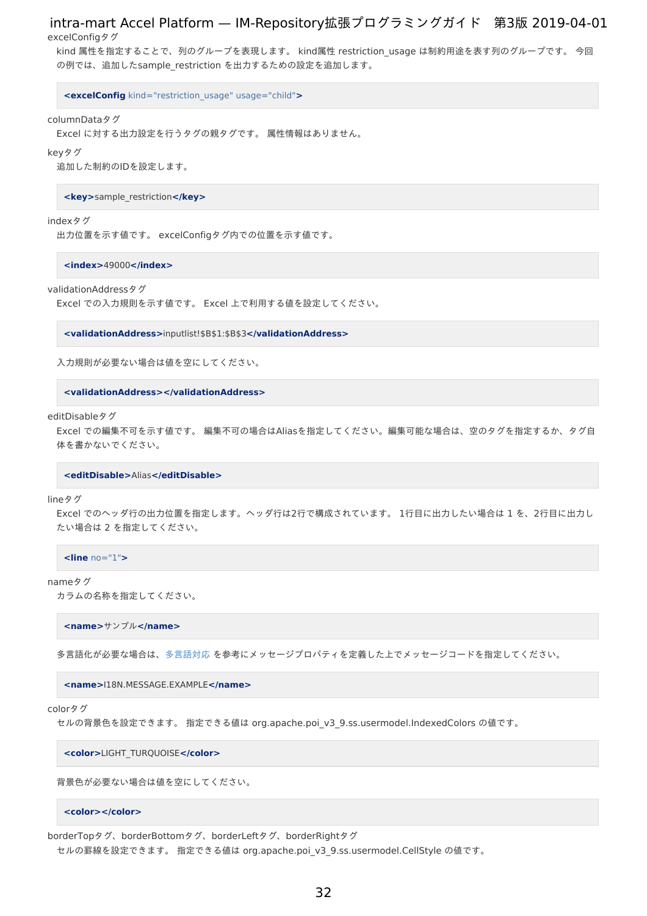excelConfigタグ

kind 属性を指定することで、列のグループを表現します。 kind属性 restriction usage は制約用途を表す列のグループです。 今回 の例では、追加したsample\_restriction を出力するための設定を追加します。

**<excelConfig** kind="restriction\_usage" usage="child"**>**

#### columnDataタグ

Excel に対する出力設定を行うタグの親タグです。 属性情報はありません。

#### keyタグ

追加した制約のIDを設定します。

**<key>**sample\_restriction**</key>**

#### indexタグ

出力位置を示す値です。 excelConfigタグ内での位置を示す値です。

**<index>**49000**</index>**

#### validationAddressタグ

Excel での入力規則を示す値です。 Excel 上で利用する値を設定してください。

**<validationAddress>**inputlist!\$B\$1:\$B\$3**</validationAddress>**

入力規則が必要ない場合は値を空にしてください。

**<validationAddress></validationAddress>**

editDisableタグ

Excel での編集不可を示す値です。 編集不可の場合はAliasを指定してください。編集可能な場合は、空のタグを指定するか、タグ自 体を書かないでください。

#### **<editDisable>**Alias**</editDisable>**

#### lineタグ

Excel でのヘッダ行の出力位置を指定します。ヘッダ行は2行で構成されています。 1行目に出力したい場合は 1 を、2行目に出力し たい場合は 2 を指定してください。

**<line** no="1"**>**

#### nameタグ

カラムの名称を指定してください。

**<name>**サンプル**</name>**

多言語化が必要な場合は[、多言語対応](http://www.intra-mart.jp/document/library/iap/public/development/script_programming_guide/texts/application/international/language/index.html) を参考にメッセージプロパティを定義した上でメッセージコードを指定してください。

**<name>**I18N.MESSAGE.EXAMPLE**</name>**

#### colorタグ

セルの背景色を設定できます。 指定できる値は org.apache.poi\_v3\_9.ss.usermodel.IndexedColors の値です。

**<color>**LIGHT\_TURQUOISE**</color>**

背景色が必要ない場合は値を空にしてください。

#### **<color></color>**

borderTopタグ、borderBottomタグ、borderLeftタグ、borderRightタグ

セルの罫線を設定できます。 指定できる値は org.apache.poi\_v3\_9.ss.usermodel.CellStyle の値です。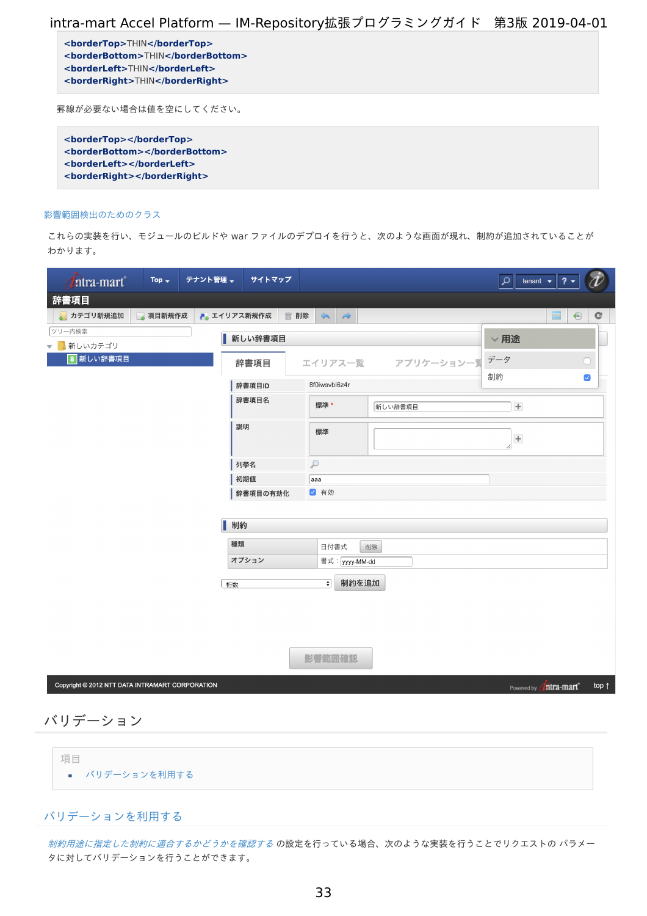**<borderTop>**THIN**</borderTop> <borderBottom>**THIN**</borderBottom> <borderLeft>**THIN**</borderLeft> <borderRight>**THIN**</borderRight>**

罫線が必要ない場合は値を空にしてください。

**<borderTop></borderTop> <borderBottom></borderBottom> <borderLeft></borderLeft> <borderRight></borderRight>**

#### [影響範囲検出のためのクラス](#page-20-5)

これらの実装を行い、モジュールのビルドや war ファイルのデプロイを行うと、次のような画面が現れ、制約が追加されていることが わかります。

| <i><b>Litra-mart</b></i>                         | Top $\div$ | テナント管理 →    | サイトマップ   |               |                                    |                |            | ٩                                | $? -$<br>tenant $\rightarrow$           |                      |
|--------------------------------------------------|------------|-------------|----------|---------------|------------------------------------|----------------|------------|----------------------------------|-----------------------------------------|----------------------|
| 辞書項目                                             |            |             |          |               |                                    |                |            |                                  |                                         |                      |
| カテゴリ新規追加                                         | 項目新規作成     | ■ エイリアス新規作成 |          | ■ 削除          | $\Leftrightarrow$<br>$\Rightarrow$ |                |            |                                  | ■                                       | ⊕<br>c               |
| ツリー内検索                                           |            |             | 新しい辞書項目  |               |                                    |                |            | $\vee$ 用途                        |                                         |                      |
| 新しいカテゴリ<br>$\overline{\phantom{0}}$<br>8 新しい辞書項目 |            |             |          |               |                                    |                |            | データ                              |                                         |                      |
|                                                  |            |             | 辞書項目     |               |                                    | エイリアス一覧        | アプリケーション一覧 |                                  |                                         | n                    |
|                                                  |            |             | 辞書項目ID   |               | 8f0iwsvbi6z4r                      |                |            | 制約                               |                                         | $\blacktriangledown$ |
|                                                  |            |             | 辞書項目名    |               | 標準*                                |                | 新しい辞書項目    | $\begin{array}{c} + \end{array}$ |                                         |                      |
|                                                  |            | 説明          |          |               | 標準                                 |                |            | $\begin{array}{c} + \end{array}$ |                                         |                      |
|                                                  |            |             | 列挙名      | $\mathcal{P}$ |                                    |                |            |                                  |                                         |                      |
|                                                  |            |             | 初期値      | aaa           |                                    |                |            |                                  |                                         |                      |
|                                                  |            |             | 辞書項目の有効化 |               | √ 有効                               |                |            |                                  |                                         |                      |
|                                                  |            | 制約          |          |               |                                    |                |            |                                  |                                         |                      |
|                                                  |            | 種類          |          |               | 日付書式                               | 削除             |            |                                  |                                         |                      |
|                                                  |            |             | オプション    |               |                                    | 書式: yyyy-MM-dd |            |                                  |                                         |                      |
|                                                  |            | 桁数          |          |               | $\overline{\bullet}$               | 制約を追加          |            |                                  |                                         |                      |
|                                                  |            |             |          |               |                                    |                |            |                                  |                                         |                      |
|                                                  |            |             |          |               |                                    |                |            |                                  |                                         |                      |
|                                                  |            |             |          |               |                                    |                |            |                                  |                                         |                      |
|                                                  |            |             |          |               | 影響範囲確認                             |                |            |                                  |                                         |                      |
| Copyright © 2012 NTT DATA INTRAMART CORPORATION  |            |             |          |               |                                    |                |            |                                  | Zntra-mart <sup>e</sup><br>Powered by ( | top $\uparrow$       |
|                                                  |            |             |          |               |                                    |                |            |                                  |                                         |                      |

バリデーショ[ン](#page-33-0)

| 項目             |  |
|----------------|--|
| ■ バリデーションを利用する |  |

## [バリデーションを利用する](#page-3-3)

[制約用途に指定した制約に適合するかどうかを確認する](index.html#validate-by-sample-dictionary-item) の設定を行っている場合、次のような実装を行うことでリクエストの パラメー タに対してバリデーションを行うことができます。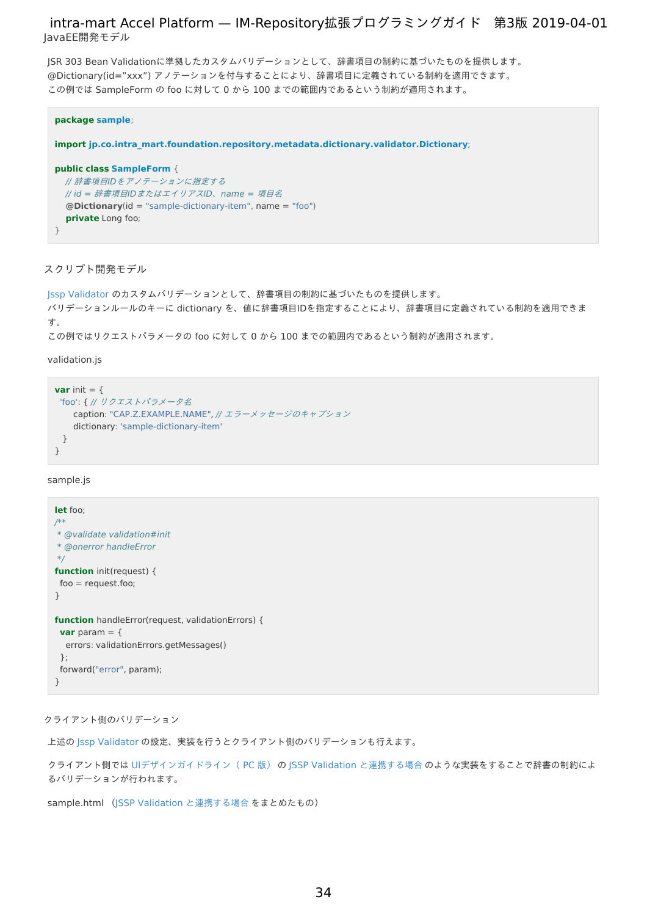<span id="page-33-0"></span>JSR 303 Bean Validationに準拠したカスタムバリデーションとして、辞書項目の制約に基づいたものを提供します。 @Dictionary(id="xxx") アノテーションを付与することにより、辞書項目に定義されている制約を適用できます。 この例では SampleForm の foo に対して 0 から 100 までの範囲内であるという制約が適用されます。

```
package sample;
import jp.co.intra_mart.foundation.repository.metadata.dictionary.validator.Dictionary;
public class SampleForm {
 // 辞書項目IDをアノテーションに指定する
 // id = 辞書項目IDまたはエイリアスID、name = 項目名
  @Dictionary(id = "sample-dictionary-item", name = "foo")
  private Long foo;
}
```
スクリプト開発モデ[ル](#page-3-1)

```
Jssp Validator のカスタムバリデーションとして、辞書項目の制約に基づいたものを提供します。
バリデーションルールのキーに dictionary を、値に辞書項目IDを指定することにより、辞書項目に定義されている制約を適用できま
す。
この例ではリクエストパラメータの foo に対して 0 から 100 までの範囲内であるという制約が適用されます。
```
validation.js

```
var init = \{'foo': { // リクエストパラメータ名
   caption: "CAP.Z.EXAMPLE.NAME", // エラーメッセージのキャプション
   dictionary: 'sample-dictionary-item'
 }
}
```
#### sample.js

```
let foo;
/**
* @validate validation#init
* @onerror handleError
*/
function init(request) {
 foo = requests
}
function handleError(request, validationErrors) {
 var param = {
  errors: validationErrors.getMessages()
 };
 forward("error", param);
}
```
### クライアント側のバリデーション

上述の Jssp [Validator](http://www.intra-mart.jp/document/library/iap/public/development/script_programming_guide/texts/application/error_handling/jssp_validator/index.html) の設定、実装を行うとクライアント側のバリデーションも行えます。

クライアント側では UI[デザインガイドライン\(](http://www.intra-mart.jp/document/library/iap/public/im_ui/im_design_guideline_pc/index.html) PC 版) の JSSP Validation [と連携する場合](https://www.intra-mart.jp/document/library/iap/public/im_ui/im_design_guideline_pc/texts/error/validation.html#jssp-validation) のような実装をすることで辞書の制約によ るバリデーションが行われます。

sample.html (JSSP Validation [と連携する場合](https://www.intra-mart.jp/document/library/iap/public/im_ui/im_design_guideline_pc/texts/error/validation.html#jssp-validation) をまとめたもの)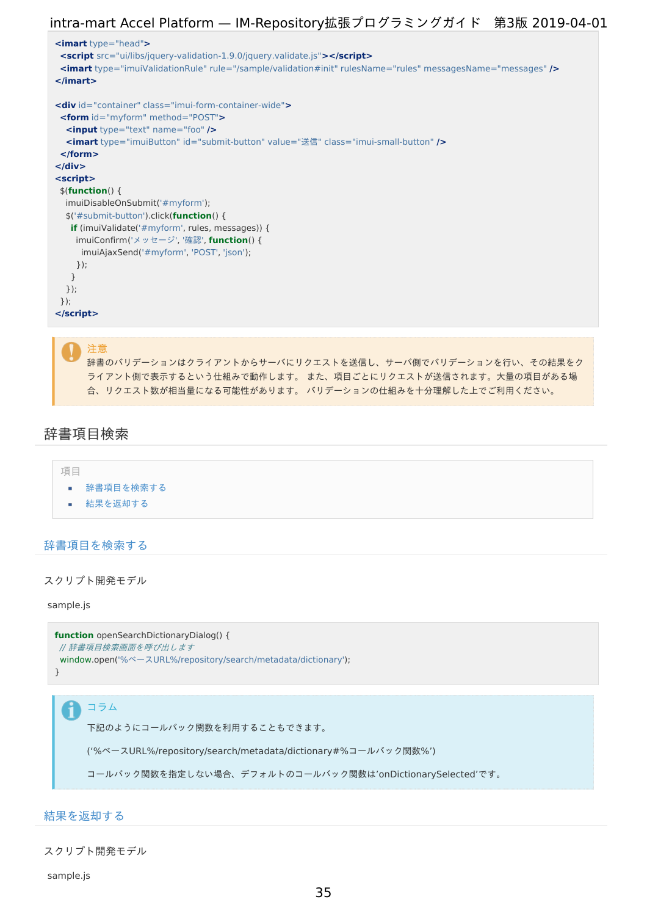

辞書のバリデーションはクライアントからサーバにリクエストを送信し、サーバ側でバリデーションを行い、その結果をク ライアント側で表示するという仕組みで動作します。 また、項目ごとにリクエストが送信されます。大量の項目がある場 合、リクエスト数が相当量になる可能性があります。 バリデーションの仕組みを十分理解した上でご利用ください。

## 辞書項目検[索](#page-36-0)



## [辞書項目を検索する](#page-0-0)

スクリプト開発モデ[ル](#page-3-2)

#### sample.js

```
function openSearchDictionaryDialog() {
// 辞書項目検索画面を呼び出します
window.open('%ベースURL%/repository/search/metadata/dictionary');
}
```
## コラム

下記のようにコールバック関数を利用することもできます。

('%ベースURL%/repository/search/metadata/dictionary#%コールバック関数%')

コールバック関数を指定しない場合、デフォルトのコールバック関数は'onDictionarySelected'です。

## [結果を返却する](#page-7-1)

スクリプト開発モデ[ル](#page-4-4)

sample.js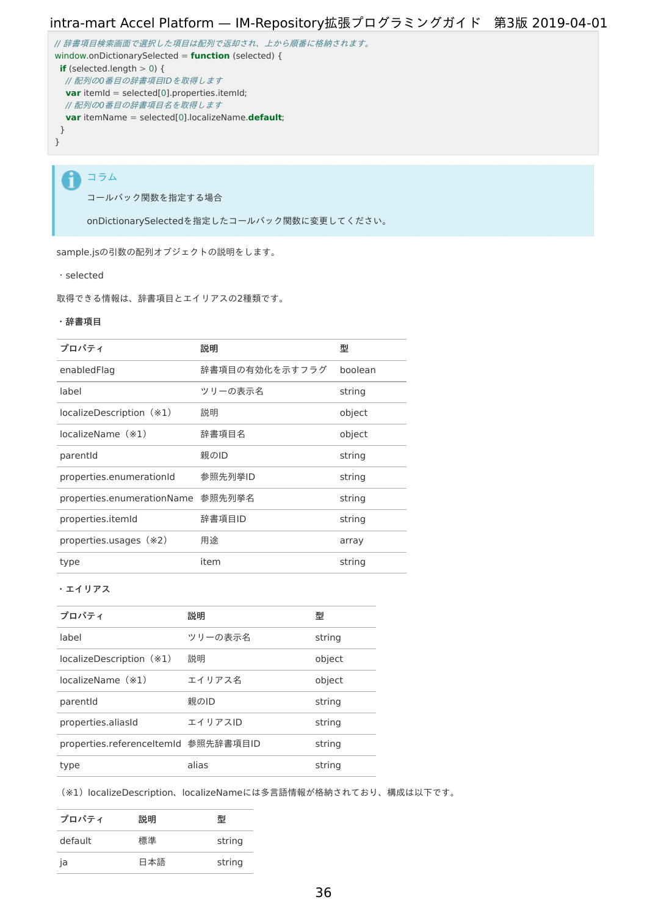```
// 辞書項目検索画面で選択した項目は配列で返却され、上から順番に格納されます。
window.onDictionarySelected = function (selected) {
if (selected.length > 0) {
// 配列の0番目の辞書項目IDを取得します
 var itemId = selected[0].properties.itemId;
 // 配列の0番目の辞書項目名を取得します
 var itemName = selected[0].localizeName.default;
}
}
```
コラム i

コールバック関数を指定する場合

onDictionarySelectedを指定したコールバック関数に変更してください。

sample.jsの引数の配列オブジェクトの説明をします。

・selected

取得できる情報は、辞書項目とエイリアスの2種類です。

#### ・辞書項目

| プロパティ                             | 説明             | 型       |
|-----------------------------------|----------------|---------|
| enabledFlag                       | 辞書項目の有効化を示すフラグ | boolean |
| label                             | ツリーの表示名        | string  |
| localizeDescription (*1)          | 説明             | object  |
| localizeName (*1)                 | 辞書項目名          | object  |
| parentid                          | 親のID           | string  |
| properties.enumerationId          | 参照先列举ID        | string  |
| properties.enumerationName 参照先列挙名 |                | string  |
| properties.itemId                 | 辞書項目ID         | string  |
| properties.usages (*2)            | 用涂             | array   |
| type                              | item           | string  |

・エイリアス

| プロパティ                                | 説明      | 型      |
|--------------------------------------|---------|--------|
| label                                | ツリーの表示名 | string |
| localizeDescription (*1)             | 説明      | object |
| localizeName (*1)                    | エイリアス名  | object |
| parentId                             | 親のID    | string |
| properties.aliasId                   | エイリアスID | string |
| properties.referenceltemId 参照先辞書項目ID |         | string |
| type                                 | alias   | string |

(※1) localizeDescription、localizeNameには多言語情報が格納されており、構成は以下です。

| プロパティ   | 説明  | 퓇      |
|---------|-----|--------|
| default | 標準  | string |
| ja      | 日本語 | string |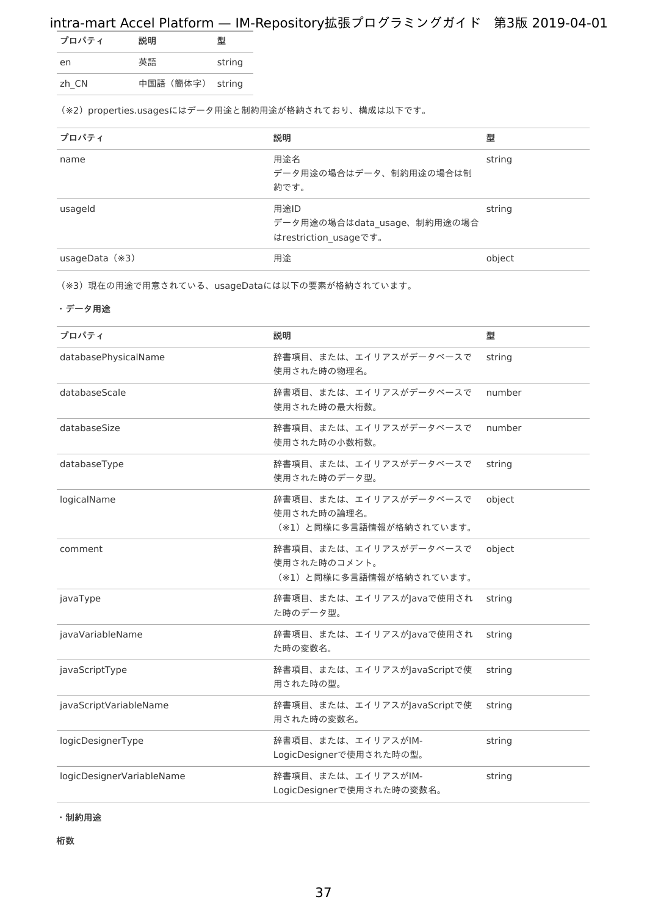<span id="page-36-0"></span>

| プロパティ | 説明               | 퓇      |
|-------|------------------|--------|
| en    | 英語               | string |
| zh CN | 中国語 (簡体字) string |        |

(※2) properties.usagesにはデータ用途と制約用途が格納されており、構成は以下です。

| プロパティ            | 説明                                                           | 型      |
|------------------|--------------------------------------------------------------|--------|
| name             | 用途名<br>データ用途の場合はデータ、制約用途の場合は制<br>約です。                        | string |
| usageld          | 用途ID<br>データ用途の場合はdata_usage、制約用途の場合<br>はrestriction usageです。 | string |
| usageData $(*3)$ | 用途                                                           | object |

(※3)現在の用途で用意されている、usageDataには以下の要素が格納されています。

### ・データ用途

| プロパティ                     | 説明                                                                | 型      |
|---------------------------|-------------------------------------------------------------------|--------|
| databasePhysicalName      | 辞書項目、または、エイリアスがデータベースで<br>使用された時の物理名。                             | string |
| databaseScale             | 辞書項目、または、エイリアスがデータベースで<br>使用された時の最大桁数。                            | number |
| databaseSize              | 辞書項目、または、エイリアスがデータベースで<br>使用された時の小数桁数。                            | number |
| databaseType              | 辞書項目、または、エイリアスがデータベースで<br>使用された時のデータ型。                            | string |
| logicalName               | 辞書項目、または、エイリアスがデータベースで<br>使用された時の論理名。<br>(※1)と同様に多言語情報が格納されています。  | object |
| comment                   | 辞書項目、または、エイリアスがデータベースで<br>使用された時のコメント。<br>(※1)と同様に多言語情報が格納されています。 | object |
| javaType                  | 辞書項目、または、エイリアスがJavaで使用され<br>た時のデータ型。                              | string |
| javaVariableName          | 辞書項目、または、エイリアスがJavaで使用され<br>た時の変数名。                               | string |
| javaScriptType            | 辞書項目、または、エイリアスがJavaScriptで使<br>用された時の型。                           | string |
| javaScriptVariableName    | 辞書項目、または、エイリアスがJavaScriptで使<br>用された時の変数名。                         | string |
| logicDesignerType         | 辞書項目、または、エイリアスがIM-<br>LogicDesignerで使用された時の型。                     | string |
| logicDesignerVariableName | 辞書項目、または、エイリアスがIM-<br>LogicDesignerで使用された時の変数名。                   | string |

・制約用途

桁数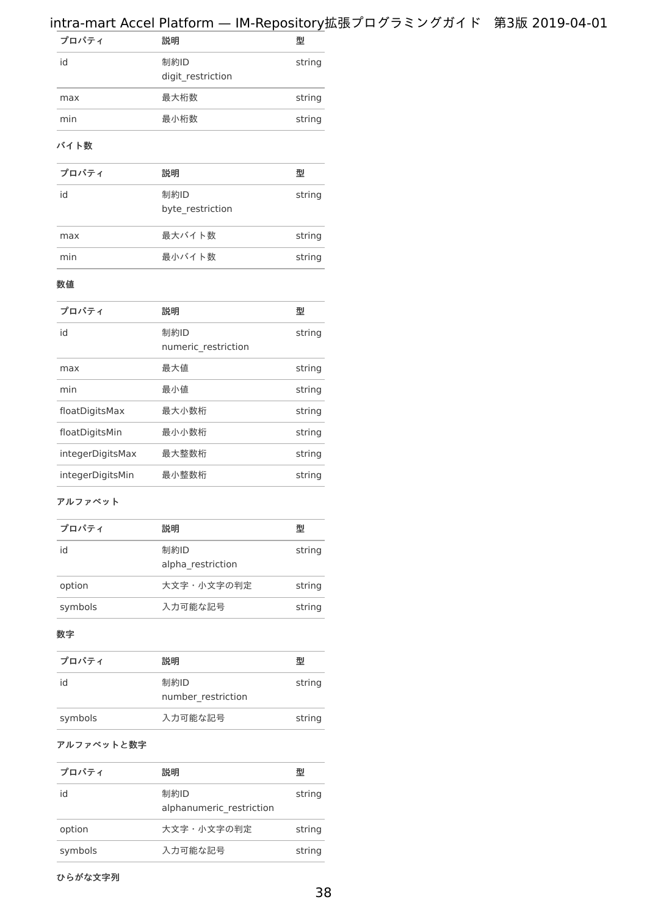| プロパティ | 説明                        | 型      |
|-------|---------------------------|--------|
| id    | 制約ID<br>digit restriction | string |
| max   | 最大桁数                      | string |
| min   | 最小桁数                      | string |
|       |                           |        |

### バイト数

| プロパティ | 説明                       | 型      |
|-------|--------------------------|--------|
| id    | 制約ID<br>byte restriction | string |
| max   | 最大バイト数                   | string |
| min   | 最小バイト数                   | string |

### 数値

| プロパティ            | 説明                          | 型      |
|------------------|-----------------------------|--------|
| id               | 制約ID<br>numeric restriction | string |
| max              | 最大値                         | string |
| min              | 最小値                         | string |
| floatDigitsMax   | 最大小数桁                       | string |
| floatDigitsMin   | 最小小数桁                       | string |
| integerDigitsMax | 最大整数桁                       | string |
| integerDigitsMin | 最小整数桁                       | string |
|                  |                             |        |

### アルファベット

| 説明                        | 型      |
|---------------------------|--------|
| 制約ID<br>alpha restriction | string |
| 大文字・小文字の判定                | string |
| 入力可能な記号                   | string |
|                           |        |

#### 数字

| プロパティ   | 説明                         | 型      |
|---------|----------------------------|--------|
| id      | 制約ID<br>number restriction | string |
| symbols | 入力可能な記号                    | string |

## アルファベットと数字

| プロパティ   | 説明                               | 型      |
|---------|----------------------------------|--------|
| id      | 制約ID<br>alphanumeric restriction | string |
| option  | 大文字・小文字の判定                       | string |
| symbols | 入力可能な記号                          | string |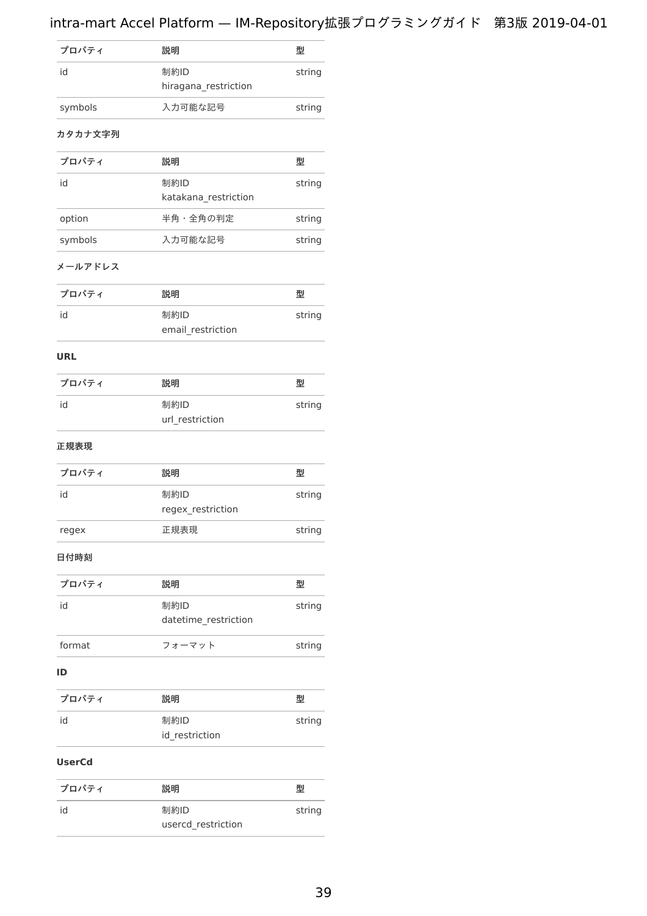| プロパティ   | 説明                           | 型      |
|---------|------------------------------|--------|
| id      | 制約ID<br>hiragana restriction | string |
| symbols | 入力可能な記号                      | string |

### カタカナ文字列

| プロパティ   | 説明                           | 型      |
|---------|------------------------------|--------|
| id      | 制約ID<br>katakana restriction | string |
| option  | 半角・全角の判定                     | string |
| symbols | 入力可能な記号                      | string |

### メールアドレス

| プロパティ | 説明                | 型      |
|-------|-------------------|--------|
| id    | 制約ID              | string |
|       | email restriction |        |

### **URL**

| プロパティ | 説明                      | 型      |
|-------|-------------------------|--------|
| id    | 制約ID<br>url restriction | string |

### 正規表現

| プロパティ | 説明                        | 型      |
|-------|---------------------------|--------|
| id    | 制約ID<br>regex_restriction | string |
| regex | 正規表現                      | string |

## 日付時刻

| プロパティ  | 説明                           | 型      |
|--------|------------------------------|--------|
| id     | 制約ID<br>datetime restriction | string |
| format | フォーマット                       | string |

### **ID**

| プロパティ | 説明             | 型      |
|-------|----------------|--------|
| id    | 制約ID           | string |
|       | id restriction |        |

### **UserCd**

| プロパティ | 説明                         | 型      |
|-------|----------------------------|--------|
| id    | 制約ID<br>usercd restriction | string |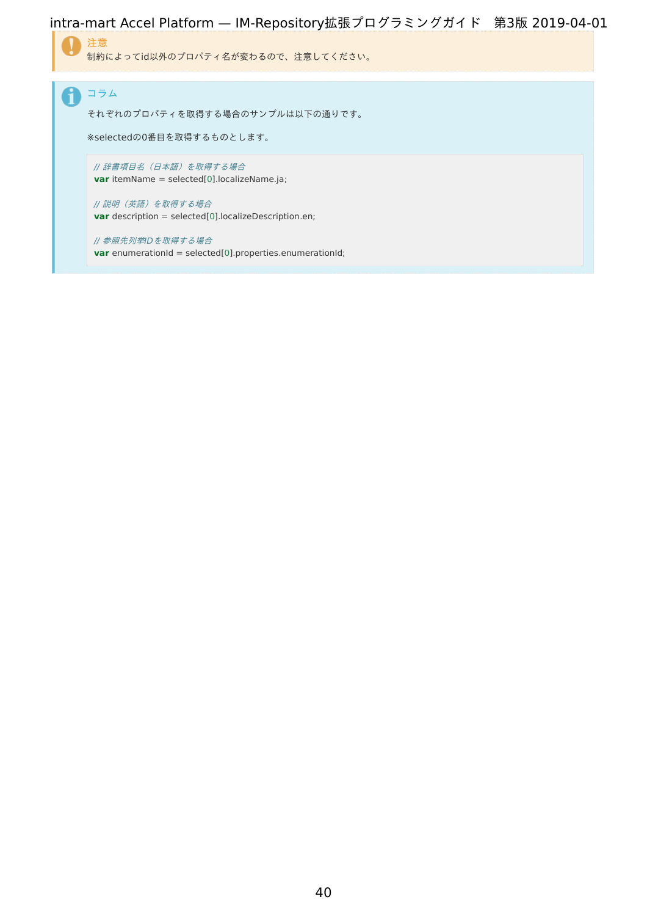

コラム f それぞれのプロパティを取得する場合のサンプルは以下の通りです。 ※selectedの0番目を取得するものとします。 // 辞書項目名(日本語)を取得する場合 **var** itemName = selected[0].localizeName.ja; // 説明(英語)を取得する場合 **var** description = selected[0].localizeDescription.en;

// 参照先列挙IDを取得する場合 **var** enumerationId = selected[0].properties.enumerationId;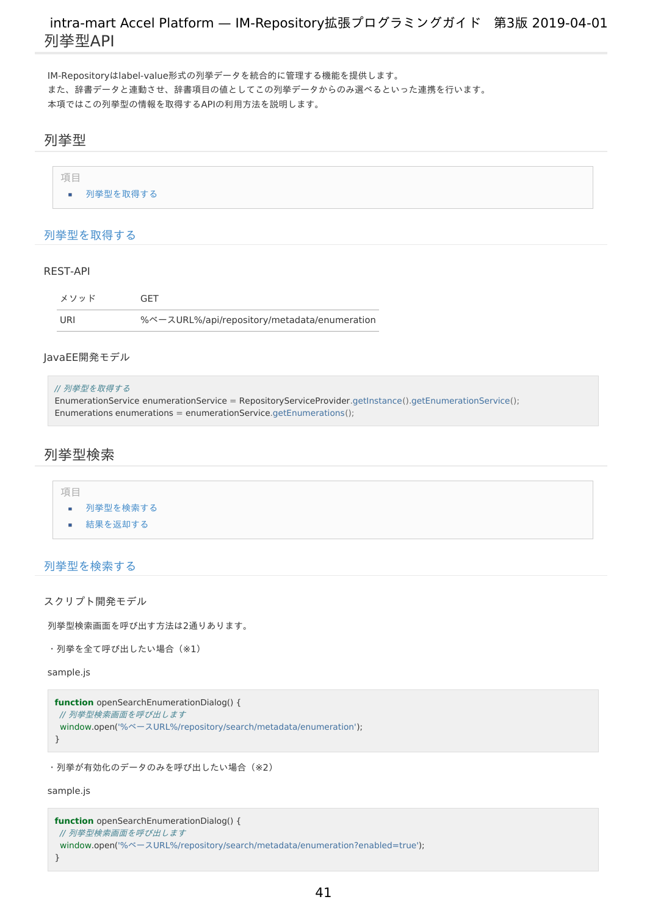<span id="page-40-0"></span>IM-Repositoryはlabel-value形式の列挙データを統合的に管理する機能を提供します。 また、辞書データと連動させ、辞書項目の値としてこの列挙データからのみ選べるといった連携を行います。 本項ではこの列挙型の情報を取得するAPIの利用方法を説明します。

## <span id="page-40-1"></span>列挙[型](#page-40-1)

| 項目 |          |  |
|----|----------|--|
|    | 列挙型を取得する |  |

### [列挙型を取得する](#page-3-1)

#### REST-AP[I](#page-4-2)

| メソッド | GFT                                          |
|------|----------------------------------------------|
| URI  | %ベースURL%/api/repository/metadata/enumeration |

### JavaEE開発モデル

#### // 列挙型を取得する

EnumerationService enumerationService = RepositoryServiceProvider.getInstance().getEnumerationService(); Enumerations enumerations = enumerationService.getEnumerations();

## 列挙型検[索](#page-41-0)

## 項目 [列挙型を検索する](#page-3-1) ×. [結果を返却する](#page-3-3)

## [列挙型を検索する](#page-0-0)

### スクリプト開発モデ[ル](#page-3-2)

列挙型検索画面を呼び出す方法は2通りあります。

```
・列挙を全て呼び出したい場合(※1)
```
sample.js

```
function openSearchEnumerationDialog() {
// 列挙型検索画面を呼び出します
window.open('%ベースURL%/repository/search/metadata/enumeration');
}
```
・列挙が有効化のデータのみを呼び出したい場合(※2)

### sample.js

```
function openSearchEnumerationDialog() {
// 列挙型検索画面を呼び出します
window.open('%ベースURL%/repository/search/metadata/enumeration?enabled=true');
}
```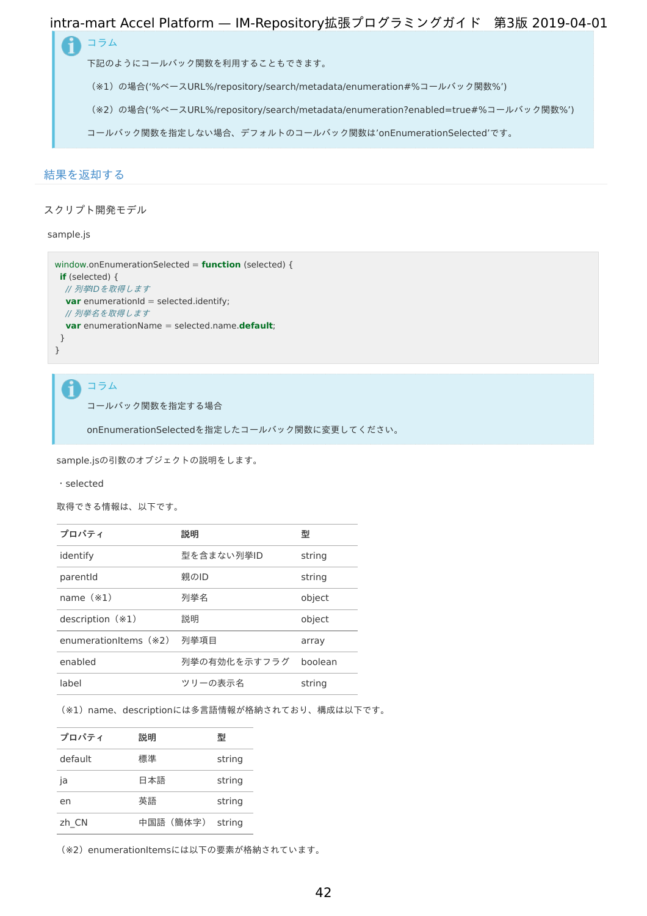<span id="page-41-0"></span>コラム ñ

下記のようにコールバック関数を利用することもできます。

(※1)の場合('%ベースURL%/repository/search/metadata/enumeration#%コールバック関数%')

(※2)の場合('%ベースURL%/repository/search/metadata/enumeration?enabled=true#%コールバック関数%')

コールバック関数を指定しない場合、デフォルトのコールバック関数は'onEnumerationSelected'です。

### [結果を返却する](#page-7-1)

スクリプト開発モデ[ル](#page-4-4)

sample.js

```
window.onEnumerationSelected = function (selected) {
if (selected) {
 // 列挙IDを取得します
 var enumerationId = selected.identify;
  // 列挙名を取得します
  var enumerationName = selected.name.default;
 }
}
```
コラム i

コールバック関数を指定する場合

onEnumerationSelectedを指定したコールバック関数に変更してください。

sample.jsの引数のオブジェクトの説明をします。

・selected

取得できる情報は、以下です。

| プロパティ                 | 説明           | 型       |
|-----------------------|--------------|---------|
| identify              | 型を含まない列挙ID   | string  |
| parentid              | 親のID         | string  |
| name $(*1)$           | 列举名          | object  |
| description $(*1)$    | 説明           | object  |
| enumerationItems (*2) | 列举項目         | array   |
| enabled               | 列挙の有効化を示すフラグ | boolean |
| label                 | ツリーの表示名      | string  |

(※1) name、descriptionには多言語情報が格納されており、構成は以下です。

| プロパティ   | 説明       | 型      |
|---------|----------|--------|
| default | 標準       | string |
| ja      | 日本語      | string |
| en      | 英語       | string |
| zh CN   | 中国語(簡体字) | string |

(※2) enumerationItemsには以下の要素が格納されています。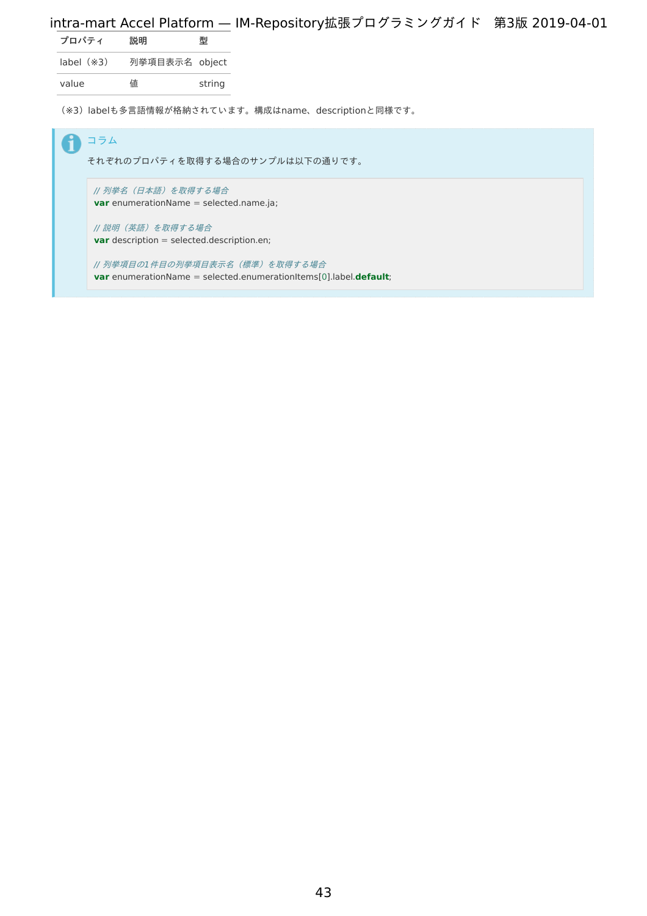| プロパティ          | 説明             | 型      |
|----------------|----------------|--------|
| $label$ $(*3)$ | 列挙項目表示名 object |        |
| value          | 値              | string |

(※3)labelも多言語情報が格納されています。構成はname、descriptionと同様です。

| コラム<br>それぞれのプロパティを取得する場合のサンプルは以下の通りです。                                                                   |
|----------------------------------------------------------------------------------------------------------|
| // 列挙名(日本語)を取得する場合<br><b>var</b> enumerationName = selected.name.ja;                                     |
| // 説明(英語)を取得する場合<br><b>var</b> description = selected.description.en;                                    |
| 列挙項目の1 件目の列挙項目表示名(標準)を取得する場合<br><b>var</b> enumerationName = selected.enumerationItems[0].label.default; |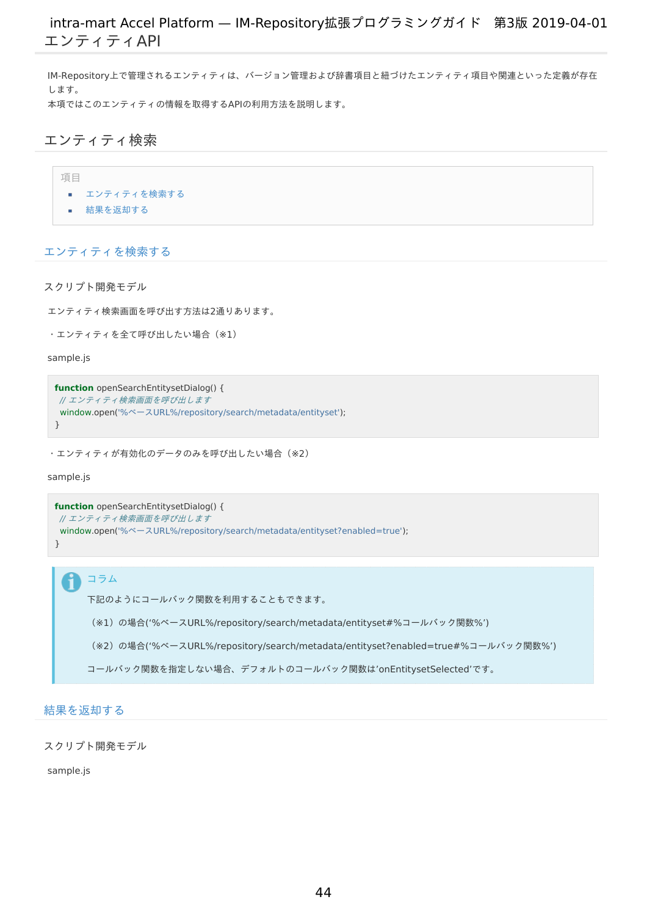IM-Repository上で管理されるエンティティは、バージョン管理および辞書項目と紐づけたエンティティ項目や関連といった定義が存在 します。 本項ではこのエンティティの情報を取得するAPIの利用方法を説明します。

## エンティティ検[索](#page-44-1)

項目

- $\mathbf{r}$ [エンティティを検索する](#page-3-1)
- [結果を返却する](#page-3-3)

### [エンティティを検索する](#page-0-0)

スクリプト開発モデ[ル](#page-3-2)

エンティティ検索画面を呼び出す方法は2通りあります。

```
・エンティティを全て呼び出したい場合(※1)
```
sample.js

```
function openSearchEntitysetDialog() {
// エンティティ検索画面を呼び出します
window.open('%ベースURL%/repository/search/metadata/entityset');
}
```
・エンティティが有効化のデータのみを呼び出したい場合(※2)

sample.js

ĭ

```
function openSearchEntitysetDialog() {
// エンティティ検索画面を呼び出します
window.open('%ベースURL%/repository/search/metadata/entityset?enabled=true');
}
```
コラム

下記のようにコールバック関数を利用することもできます。

(※1)の場合('%ベースURL%/repository/search/metadata/entityset#%コールバック関数%')

(※2)の場合('%ベースURL%/repository/search/metadata/entityset?enabled=true#%コールバック関数%')

コールバック関数を指定しない場合、デフォルトのコールバック関数は'onEntitysetSelected'です。

### [結果を返却する](#page-7-1)

スクリプト開発モデ[ル](#page-4-4)

sample.js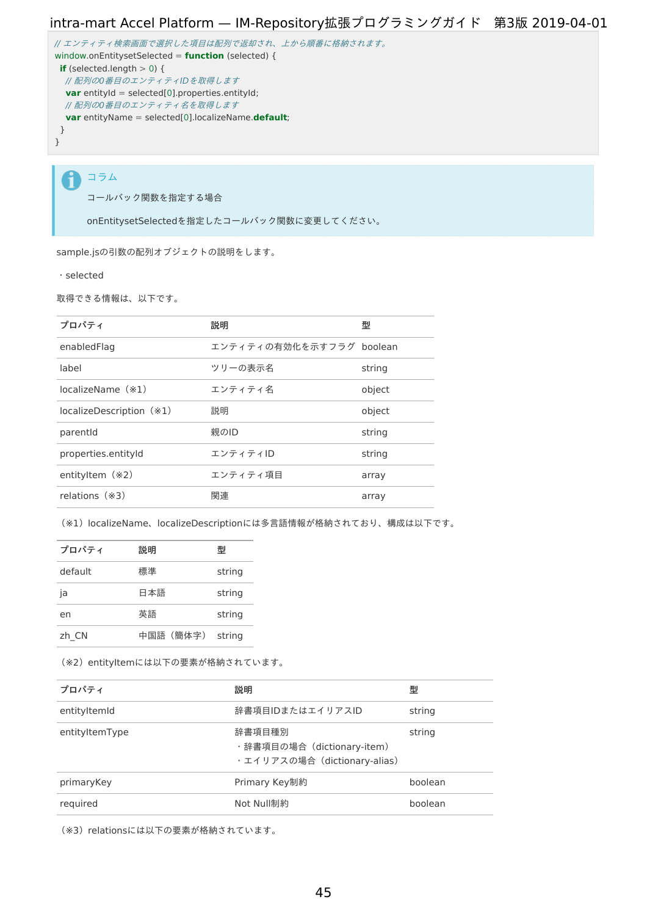```
// エンティティ検索画面で選択した項目は配列で返却され、上から順番に格納されます。
window.onEntitysetSelected = function (selected) {
if (selected.length > 0) {
// 配列の0番目のエンティティIDを取得します
 var entityId = selected[0].properties.entityId;
 // 配列の0番目のエンティティ名を取得します
 var entityName = selected[0].localizeName.default;
}
}
```
コラム i

コールバック関数を指定する場合

onEntitysetSelectedを指定したコールバック関数に変更してください。

sample.jsの引数の配列オブジェクトの説明をします。

・selected

取得できる情報は、以下です。

| プロパティ                    | 説明                       | 型      |
|--------------------------|--------------------------|--------|
| enabledFlag              | エンティティの有効化を示すフラグ boolean |        |
| label                    | ツリーの表示名                  | string |
| $localizeName$ ( $*1$ )  | エンティティ名                  | object |
| localizeDescription (*1) | 説明                       | object |
| parentid                 | 親のID                     | string |
| properties.entityId      | エンティティID                 | string |
| entityltem $(*2)$        | エンティティ項目                 | array  |
| relations $(*3)$         | 関連                       | array  |

(※1) localizeName、localizeDescriptionには多言語情報が格納されており、構成は以下です。

| プロパティ   | 説明       | 型      |
|---------|----------|--------|
| default | 標準       | string |
| ja      | 日本語      | string |
| en      | 英語       | string |
| zh CN   | 中国語(簡体字) | string |

(※2) entityItemには以下の要素が格納されています。

| プロパティ          | 説明                                                                   | 型       |
|----------------|----------------------------------------------------------------------|---------|
| entityItemId   | 辞書項目IDまたはエイリアスID                                                     | string  |
| entityItemType | 辞書項目種別<br>·辞書項目の場合 (dictionary-item)<br>·エイリアスの場合 (dictionary-alias) | string  |
| primaryKey     | Primary Key制約                                                        | boolean |
| required       | Not Null制約                                                           | boolean |

(※3) relationsには以下の要素が格納されています。